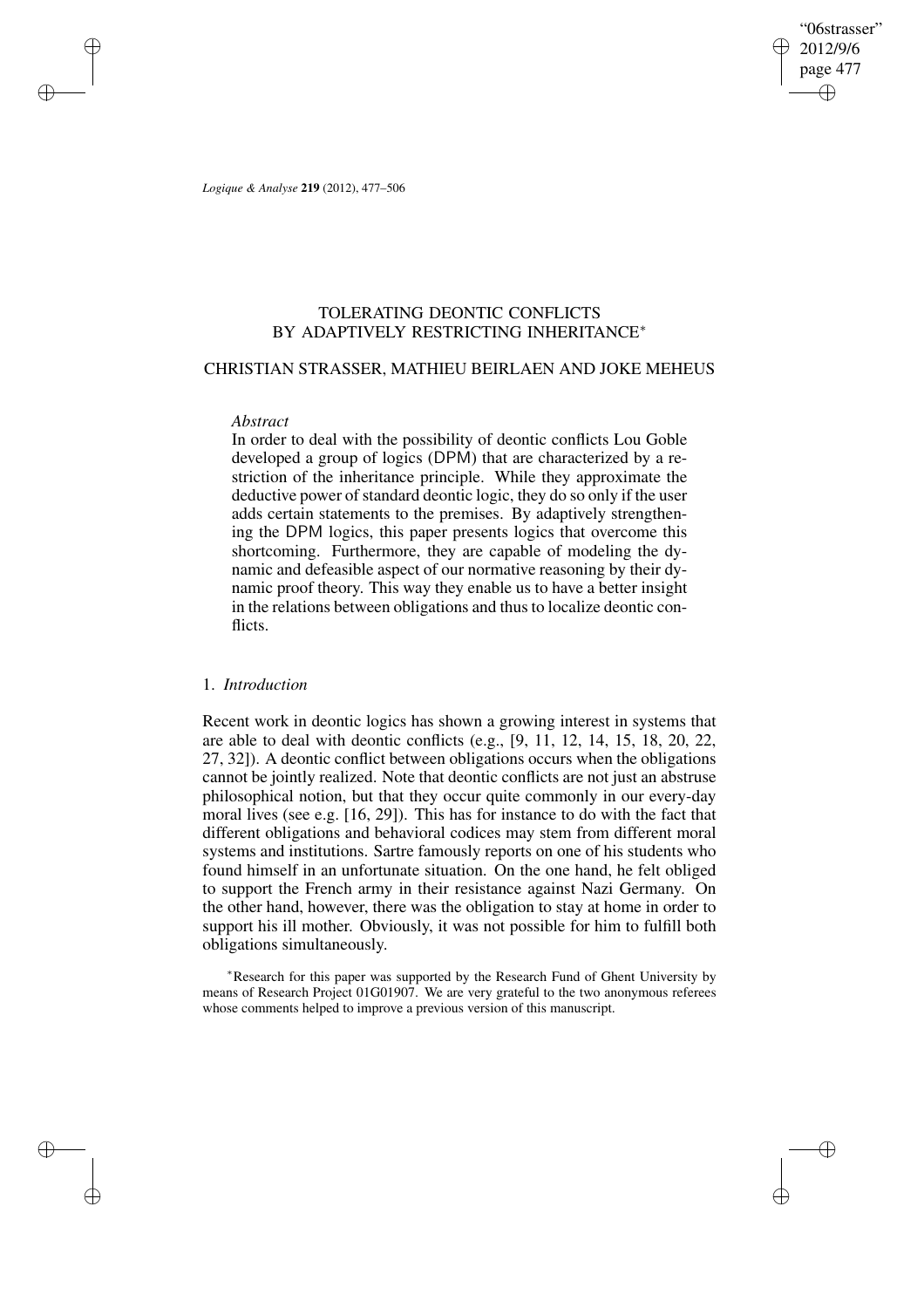"06strasser" 2012/9/6 page 477 ✐ ✐

✐

✐

*Logique & Analyse* **219** (2012), 477–506

✐

✐

✐

✐

# TOLERATING DEONTIC CONFLICTS BY ADAPTIVELY RESTRICTING INHERITANCE<sup>∗</sup>

### CHRISTIAN STRASSER, MATHIEU BEIRLAEN AND JOKE MEHEUS

### *Abstract*

In order to deal with the possibility of deontic conflicts Lou Goble developed a group of logics (DPM) that are characterized by a restriction of the inheritance principle. While they approximate the deductive power of standard deontic logic, they do so only if the user adds certain statements to the premises. By adaptively strengthening the DPM logics, this paper presents logics that overcome this shortcoming. Furthermore, they are capable of modeling the dynamic and defeasible aspect of our normative reasoning by their dynamic proof theory. This way they enable us to have a better insight in the relations between obligations and thus to localize deontic conflicts.

### 1. *Introduction*

Recent work in deontic logics has shown a growing interest in systems that are able to deal with deontic conflicts (e.g., [9, 11, 12, 14, 15, 18, 20, 22, 27, 32]). A deontic conflict between obligations occurs when the obligations cannot be jointly realized. Note that deontic conflicts are not just an abstruse philosophical notion, but that they occur quite commonly in our every-day moral lives (see e.g. [16, 29]). This has for instance to do with the fact that different obligations and behavioral codices may stem from different moral systems and institutions. Sartre famously reports on one of his students who found himself in an unfortunate situation. On the one hand, he felt obliged to support the French army in their resistance against Nazi Germany. On the other hand, however, there was the obligation to stay at home in order to support his ill mother. Obviously, it was not possible for him to fulfill both obligations simultaneously.

<sup>∗</sup>Research for this paper was supported by the Research Fund of Ghent University by means of Research Project 01G01907. We are very grateful to the two anonymous referees whose comments helped to improve a previous version of this manuscript.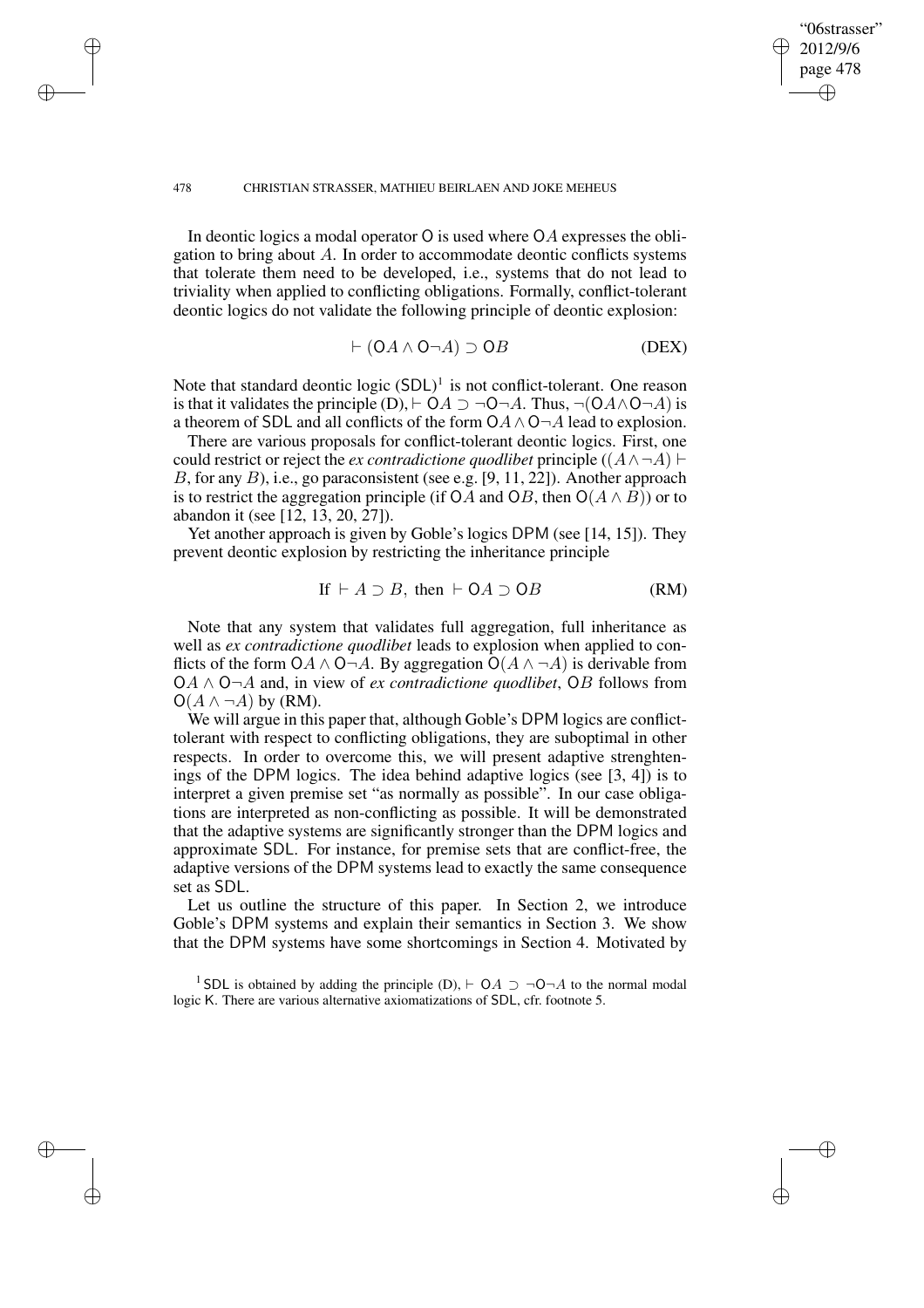✐

✐

✐

✐

In deontic logics a modal operator O is used where OA expresses the obligation to bring about A. In order to accommodate deontic conflicts systems that tolerate them need to be developed, i.e., systems that do not lead to triviality when applied to conflicting obligations. Formally, conflict-tolerant deontic logics do not validate the following principle of deontic explosion:

$$
\vdash (OA \land O \neg A) \supset OB
$$
 (DEX)

"06strasser" 2012/9/6 page 478

✐

✐

✐

✐

Note that standard deontic logic  $(SDL)^1$  is not conflict-tolerant. One reason is that it validates the principle (D),  $\vdash OA \supset \neg O \neg A$ . Thus,  $\neg(O \land \land O \neg A)$  is a theorem of SDL and all conflicts of the form  $OA \land O \neg A$  lead to explosion.

There are various proposals for conflict-tolerant deontic logics. First, one could restrict or reject the *ex contradictione quodlibet* principle  $((A \land \neg A) \vdash$ B, for any B), i.e., go paraconsistent (see e.g. [9, 11, 22]). Another approach is to restrict the aggregation principle (if OA and OB, then  $O(A \wedge B)$ ) or to abandon it (see [12, 13, 20, 27]).

Yet another approach is given by Goble's logics DPM (see [14, 15]). They prevent deontic explosion by restricting the inheritance principle

If 
$$
\vdash A \supset B
$$
, then  $\vdash OA \supset OB$  (RM)

Note that any system that validates full aggregation, full inheritance as well as *ex contradictione quodlibet* leads to explosion when applied to conflicts of the form OA  $\land$  O¬A. By aggregation O( $A \land \neg A$ ) is derivable from OA ∧ O¬A and, in view of *ex contradictione quodlibet*, OB follows from  $O(A \wedge \neg A)$  by (RM).

We will argue in this paper that, although Goble's DPM logics are conflicttolerant with respect to conflicting obligations, they are suboptimal in other respects. In order to overcome this, we will present adaptive strenghtenings of the DPM logics. The idea behind adaptive logics (see [3, 4]) is to interpret a given premise set "as normally as possible". In our case obligations are interpreted as non-conflicting as possible. It will be demonstrated that the adaptive systems are significantly stronger than the DPM logics and approximate SDL. For instance, for premise sets that are conflict-free, the adaptive versions of the DPM systems lead to exactly the same consequence set as SDL.

Let us outline the structure of this paper. In Section 2, we introduce Goble's DPM systems and explain their semantics in Section 3. We show that the DPM systems have some shortcomings in Section 4. Motivated by

<sup>1</sup> SDL is obtained by adding the principle (D),  $\vdash$  OA  $\supset \neg O\neg A$  to the normal modal logic K. There are various alternative axiomatizations of SDL, cfr. footnote 5.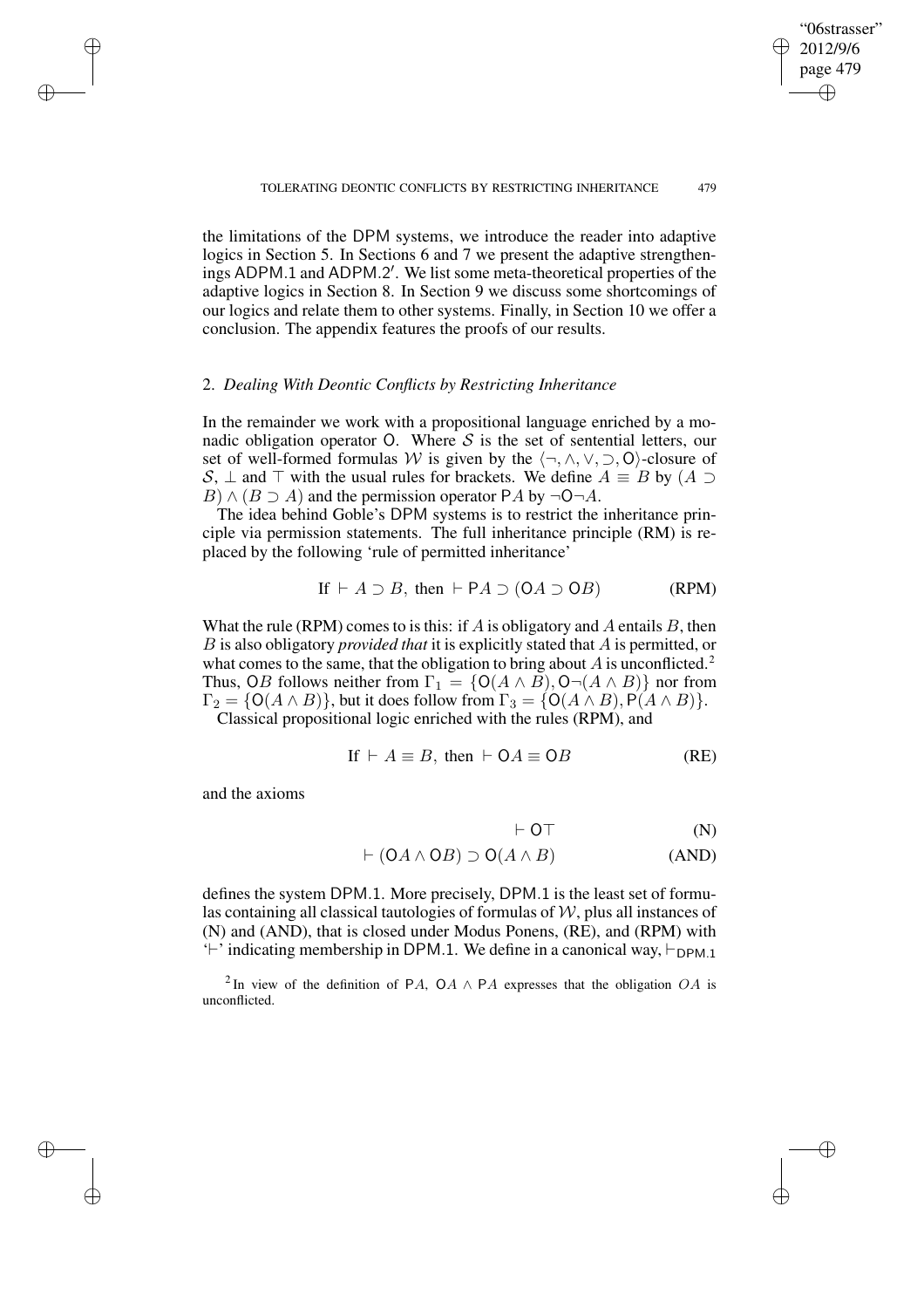the limitations of the DPM systems, we introduce the reader into adaptive logics in Section 5. In Sections 6 and 7 we present the adaptive strengthenings ADPM.1 and ADPM.2'. We list some meta-theoretical properties of the adaptive logics in Section 8. In Section 9 we discuss some shortcomings of our logics and relate them to other systems. Finally, in Section 10 we offer a conclusion. The appendix features the proofs of our results.

### 2. *Dealing With Deontic Conflicts by Restricting Inheritance*

In the remainder we work with a propositional language enriched by a monadic obligation operator O. Where  $S$  is the set of sentential letters, our set of well-formed formulas W is given by the  $\langle \neg, \wedge, \vee, \supset, \mathsf{O} \rangle$ -closure of S,  $\perp$  and  $\perp$  with the usual rules for brackets. We define  $A \equiv B$  by  $(A \supset$  $B) \wedge (B \supseteq A)$  and the permission operator PA by  $\neg$ O $\neg$ A.

The idea behind Goble's DPM systems is to restrict the inheritance principle via permission statements. The full inheritance principle (RM) is replaced by the following 'rule of permitted inheritance'

If 
$$
\vdash A \supset B
$$
, then  $\vdash \mathsf{PA} \supset (\mathsf{OA} \supset \mathsf{OB})$  (RPM)

What the rule (RPM) comes to is this: if A is obligatory and A entails B, then B is also obligatory *provided that* it is explicitly stated that A is permitted, or what comes to the same, that the obligation to bring about  $A$  is unconflicted.<sup>2</sup> Thus, OB follows neither from  $\Gamma_1 = \{O(A \wedge B), O\neg(A \wedge B)\}\)$  nor from  $\Gamma_2 = \{O(A \wedge B)\}\$ , but it does follow from  $\Gamma_3 = \{O(A \wedge B), P(A \wedge B)\}\$ .

Classical propositional logic enriched with the rules (RPM), and

If 
$$
\vdash A \equiv B
$$
, then  $\vdash OA \equiv OB$  (RE)

and the axioms

✐

✐

✐

✐

$$
\vdash \mathsf{O}\top\tag{N}
$$

$$
\vdash (OA \land OB) \supset O(A \land B) \tag{AND}
$$

defines the system DPM.1. More precisely, DPM.1 is the least set of formulas containing all classical tautologies of formulas of  $W$ , plus all instances of (N) and (AND), that is closed under Modus Ponens, (RE), and (RPM) with '<sup>-</sup>' indicating membership in DPM.1. We define in a canonical way,  $\vdash_{\text{DPM.1}}$ 

<sup>2</sup>In view of the definition of PA, OA  $\land$  PA expresses that the obligation OA is unconflicted.

"06strasser" 2012/9/6 page 479 ✐ ✐

✐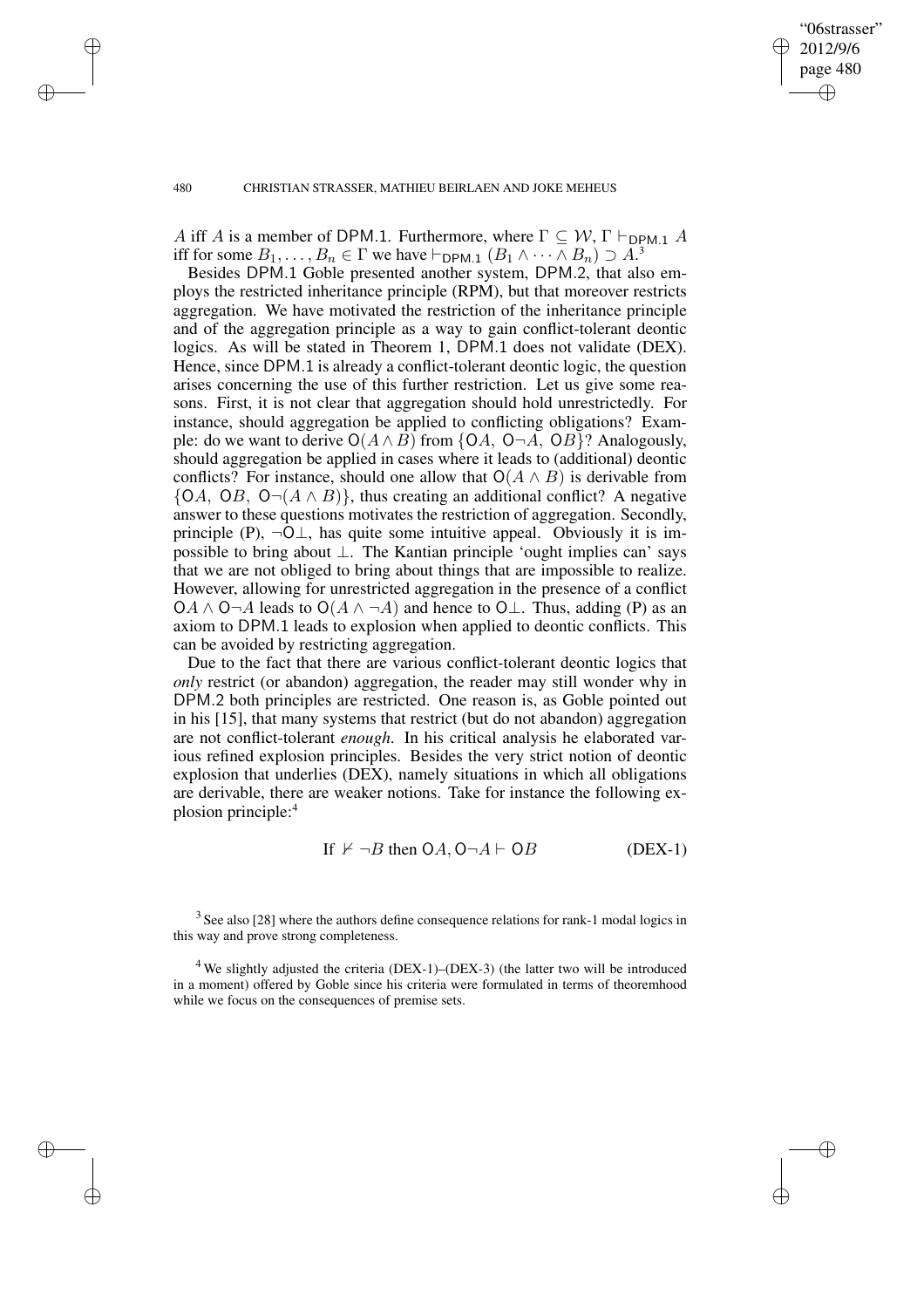"06strasser" 2012/9/6 page 480 ✐ ✐

✐

✐

### 480 CHRISTIAN STRASSER, MATHIEU BEIRLAEN AND JOKE MEHEUS

✐

✐

✐

✐

A iff A is a member of DPM.1. Furthermore, where  $\Gamma \subseteq W$ ,  $\Gamma \vdash_{\text{DPM.1}} A$ iff for some  $B_1, \ldots, B_n \in \Gamma$  we have  $\vdash_{\mathsf{DPM.1}} (B_1 \land \cdots \land B_n) \supset A^3$ .

Besides DPM.1 Goble presented another system, DPM.2, that also employs the restricted inheritance principle (RPM), but that moreover restricts aggregation. We have motivated the restriction of the inheritance principle and of the aggregation principle as a way to gain conflict-tolerant deontic logics. As will be stated in Theorem 1, DPM.1 does not validate (DEX). Hence, since DPM.1 is already a conflict-tolerant deontic logic, the question arises concerning the use of this further restriction. Let us give some reasons. First, it is not clear that aggregation should hold unrestrictedly. For instance, should aggregation be applied to conflicting obligations? Example: do we want to derive  $O(A \wedge B)$  from {OA, O¬A, OB}? Analogously, should aggregation be applied in cases where it leads to (additional) deontic conflicts? For instance, should one allow that  $O(A \wedge B)$  is derivable from  ${OA, OB, O}\neg(A \wedge B)$ , thus creating an additional conflict? A negative answer to these questions motivates the restriction of aggregation. Secondly, principle (P),  $\neg$ O $\bot$ , has quite some intuitive appeal. Obviously it is impossible to bring about ⊥. The Kantian principle 'ought implies can' says that we are not obliged to bring about things that are impossible to realize. However, allowing for unrestricted aggregation in the presence of a conflict OA ∧ O¬A leads to O( $A \land \neg A$ ) and hence to O⊥. Thus, adding (P) as an axiom to DPM.1 leads to explosion when applied to deontic conflicts. This can be avoided by restricting aggregation.

Due to the fact that there are various conflict-tolerant deontic logics that *only* restrict (or abandon) aggregation, the reader may still wonder why in DPM.2 both principles are restricted. One reason is, as Goble pointed out in his [15], that many systems that restrict (but do not abandon) aggregation are not conflict-tolerant *enough*. In his critical analysis he elaborated various refined explosion principles. Besides the very strict notion of deontic explosion that underlies (DEX), namely situations in which all obligations are derivable, there are weaker notions. Take for instance the following explosion principle:<sup>4</sup>

If 
$$
\nvdash \neg B
$$
 then  $OA$ ,  $O\neg A \vdash OB$  (DEX-1)

 $3$  See also [28] where the authors define consequence relations for rank-1 modal logics in this way and prove strong completeness.

 $4$  We slightly adjusted the criteria (DEX-1)–(DEX-3) (the latter two will be introduced in a moment) offered by Goble since his criteria were formulated in terms of theoremhood while we focus on the consequences of premise sets.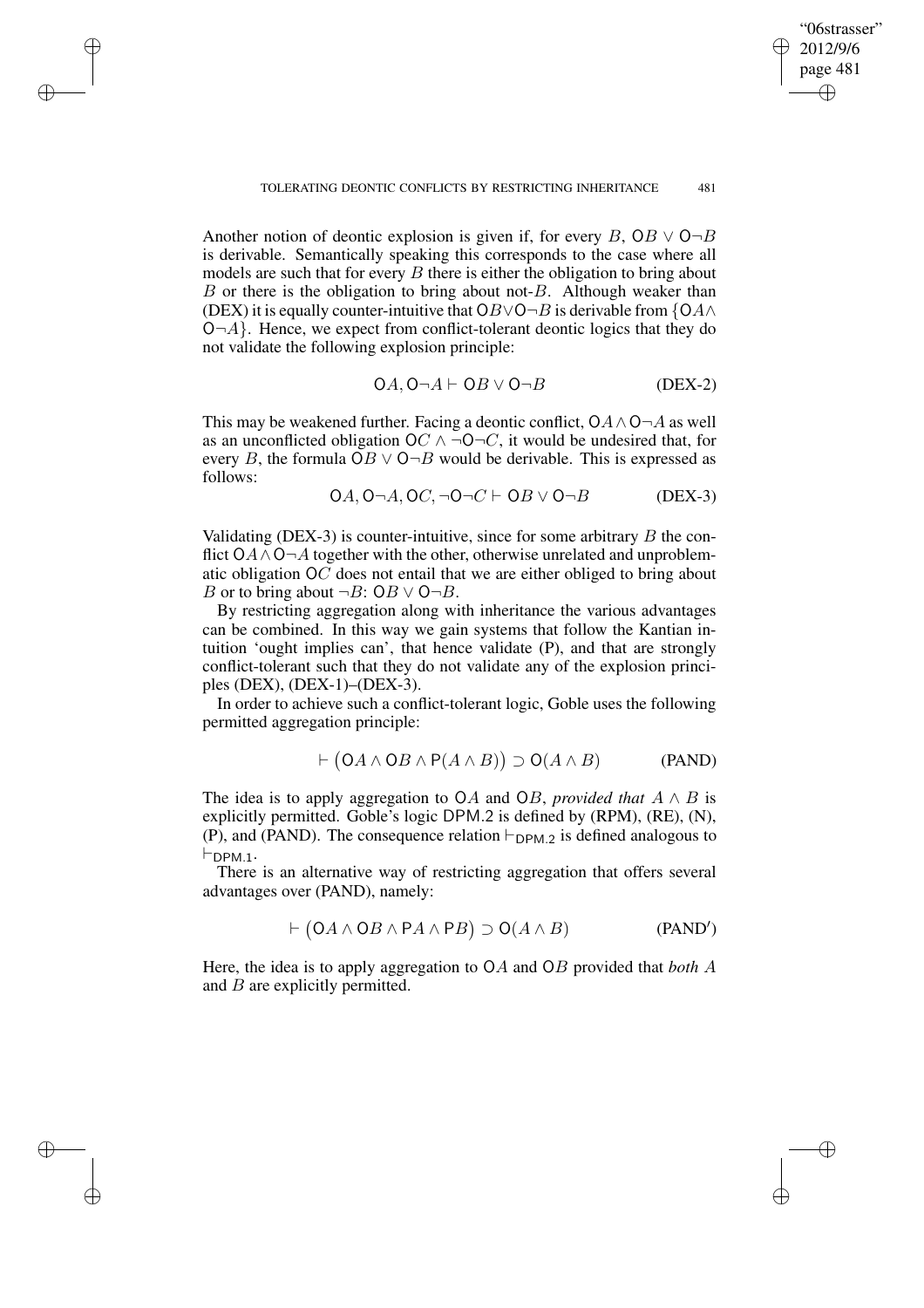Another notion of deontic explosion is given if, for every B,  $OB \vee O \neg B$ is derivable. Semantically speaking this corresponds to the case where all models are such that for every  $B$  there is either the obligation to bring about  $B$  or there is the obligation to bring about not- $B$ . Although weaker than (DEX) it is equally counter-intuitive that OB∨O¬B is derivable from  $\{OA \wedge$  $O\neg A$ . Hence, we expect from conflict-tolerant deontic logics that they do not validate the following explosion principle:

✐

✐

✐

✐

$$
OA, O \neg A \vdash OB \lor O \neg B \qquad (DEX-2)
$$

"06strasser" 2012/9/6 page 481

✐

✐

✐

✐

This may be weakened further. Facing a deontic conflict,  $OA \wedge O \neg A$  as well as an unconflicted obligation OC  $\land \neg O\neg C$ , it would be undesired that, for every B, the formula  $OB \vee O \neg B$  would be derivable. This is expressed as follows:

$$
OA, O \neg A, OC, \neg O \neg C \vdash OB \lor O \neg B \qquad (DEX-3)
$$

Validating (DEX-3) is counter-intuitive, since for some arbitrary  $B$  the conflict  $OA \wedge O \neg A$  together with the other, otherwise unrelated and unproblematic obligation  $O\overrightarrow{C}$  does not entail that we are either obliged to bring about B or to bring about  $\neg B: \mathsf{O}B \vee \mathsf{O} \neg B$ .

By restricting aggregation along with inheritance the various advantages can be combined. In this way we gain systems that follow the Kantian intuition 'ought implies can', that hence validate (P), and that are strongly conflict-tolerant such that they do not validate any of the explosion principles (DEX), (DEX-1)–(DEX-3).

In order to achieve such a conflict-tolerant logic, Goble uses the following permitted aggregation principle:

$$
\vdash (OA \land OB \land P(A \land B)) \supset O(A \land B) \tag{PAND}
$$

The idea is to apply aggregation to OA and OB, *provided that*  $A \wedge B$  is explicitly permitted. Goble's logic DPM.2 is defined by (RPM), (RE), (N), (P), and (PAND). The consequence relation  $\vdash_{\text{DPM.2}}$  is defined analogous to  $\vdash_{\textsf{DPM}.1}$ .

There is an alternative way of restricting aggregation that offers several advantages over (PAND), namely:

$$
\vdash (OA \land OB \land PA \land PB) \supset O(A \land B) \tag{PAND'}
$$

Here, the idea is to apply aggregation to OA and OB provided that *both* A and *B* are explicitly permitted.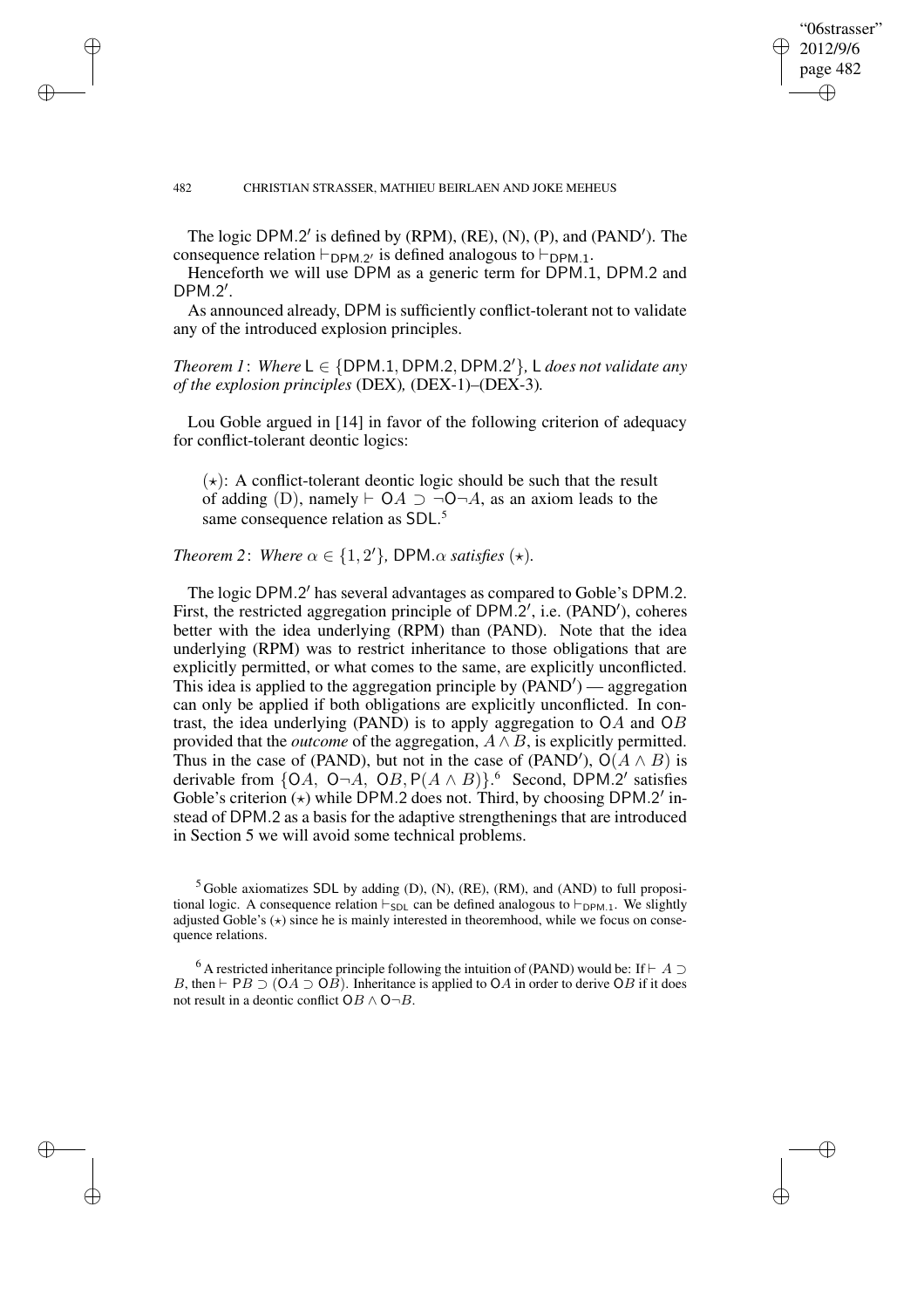✐

✐

✐

✐

The logic DPM.2' is defined by (RPM), (RE), (N), (P), and (PAND'). The consequence relation  $\vdash_{\text{DPM}.2'}$  is defined analogous to  $\vdash_{\text{DPM}.1}$ .

"06strasser" 2012/9/6 page 482

✐

✐

✐

✐

Henceforth we will use DPM as a generic term for DPM.1, DPM.2 and  $DPM.2'$ .

As announced already, DPM is sufficiently conflict-tolerant not to validate any of the introduced explosion principles.

 $Theorem 1: Where L \in \{DPM.1, DPM.2, DPM.2'\}, L does not validate any$ *of the explosion principles* (DEX)*,* (DEX-1)*–*(DEX-3)*.*

Lou Goble argued in [14] in favor of the following criterion of adequacy for conflict-tolerant deontic logics:

 $(\star)$ : A conflict-tolerant deontic logic should be such that the result of adding (D), namely  $\vdash$  OA  $\supset \neg$ O $\neg$ A, as an axiom leads to the same consequence relation as SDL.<sup>5</sup>

*Theorem* 2: *Where*  $\alpha \in \{1, 2'\}$ *, DPM.* $\alpha$  *satisfies* ( $\star$ )*.* 

The logic DPM.2' has several advantages as compared to Goble's DPM.2. First, the restricted aggregation principle of DPM.2', i.e. (PAND'), coheres better with the idea underlying (RPM) than (PAND). Note that the idea underlying (RPM) was to restrict inheritance to those obligations that are explicitly permitted, or what comes to the same, are explicitly unconflicted. This idea is applied to the aggregation principle by  $(PAND')$  — aggregation can only be applied if both obligations are explicitly unconflicted. In contrast, the idea underlying (PAND) is to apply aggregation to OA and OB provided that the *outcome* of the aggregation, A ∧ B, is explicitly permitted. Thus in the case of (PAND), but not in the case of (PAND'),  $O(A \wedge B)$  is derivable from {OA, O¬A, OB, P( $A \wedge B$ )}.<sup>6</sup> Second, DPM.2' satisfies Goble's criterion ( $\star$ ) while DPM.2 does not. Third, by choosing DPM.2' instead of DPM.2 as a basis for the adaptive strengthenings that are introduced in Section 5 we will avoid some technical problems.

 $<sup>5</sup>$  Goble axiomatizes SDL by adding (D), (N), (RE), (RM), and (AND) to full proposi-</sup> tional logic. A consequence relation  $\vdash_{SDL}$  can be defined analogous to  $\vdash_{DPM.1}$ . We slightly adjusted Goble's  $(\star)$  since he is mainly interested in theoremhood, while we focus on consequence relations.

<sup>6</sup> A restricted inheritance principle following the intuition of (PAND) would be: If  $\vdash A \supset$ B, then  $\vdash$  PB  $\supset$  (OA  $\supset$  OB). Inheritance is applied to OA in order to derive OB if it does not result in a deontic conflict  $OB \wedge O\neg B$ .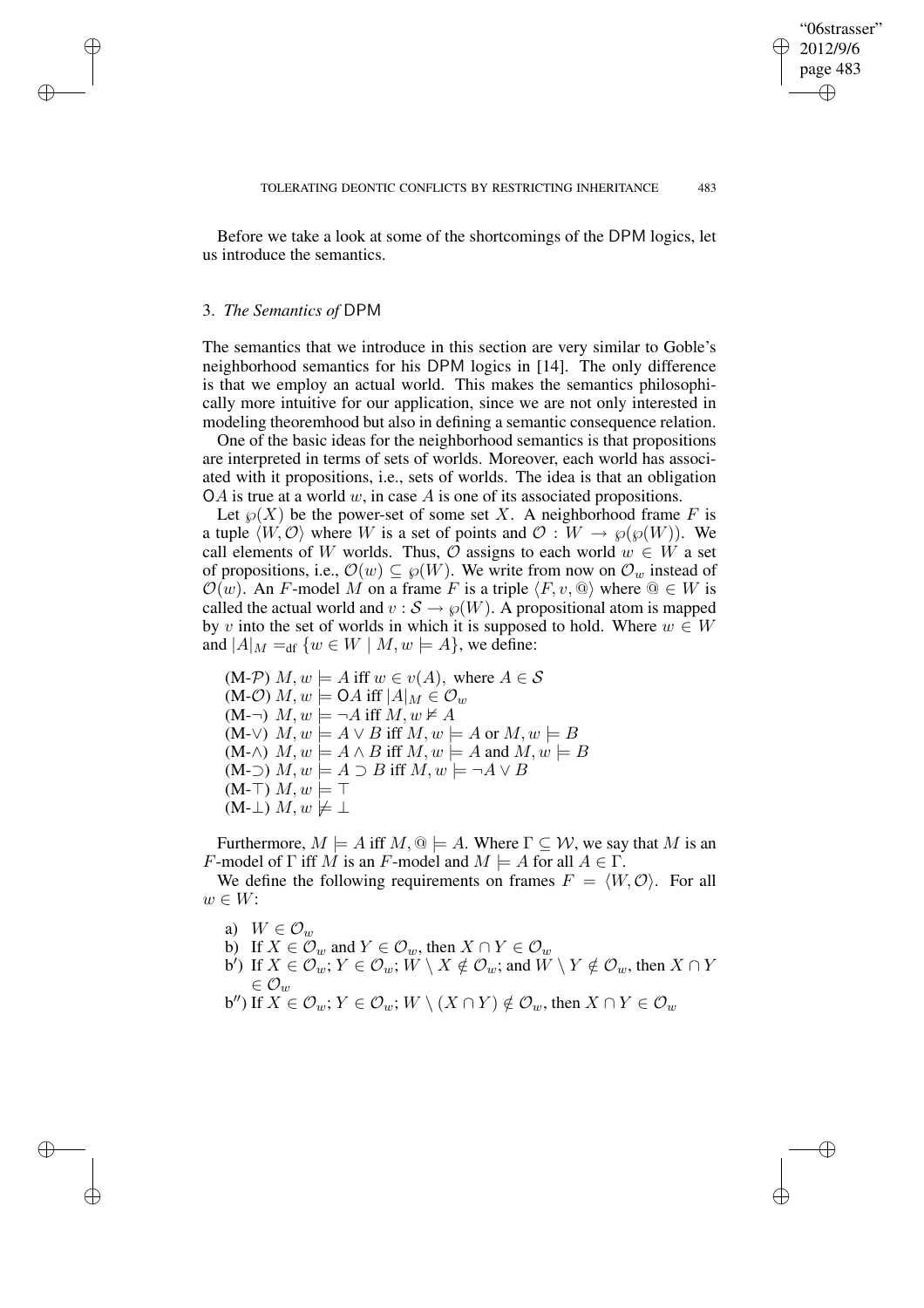✐

✐

✐

✐

Before we take a look at some of the shortcomings of the DPM logics, let us introduce the semantics.

### 3. *The Semantics of* DPM

✐

✐

✐

✐

The semantics that we introduce in this section are very similar to Goble's neighborhood semantics for his DPM logics in [14]. The only difference is that we employ an actual world. This makes the semantics philosophically more intuitive for our application, since we are not only interested in modeling theoremhood but also in defining a semantic consequence relation.

One of the basic ideas for the neighborhood semantics is that propositions are interpreted in terms of sets of worlds. Moreover, each world has associated with it propositions, i.e., sets of worlds. The idea is that an obligation OA is true at a world  $w$ , in case A is one of its associated propositions.

Let  $\mathcal{P}(X)$  be the power-set of some set X. A neighborhood frame F is a tuple  $\langle W, \mathcal{O} \rangle$  where W is a set of points and  $\mathcal{O} : W \to \wp(\wp(W))$ . We call elements of W worlds. Thus,  $\overline{O}$  assigns to each world  $w \in W$  a set of propositions, i.e.,  $\mathcal{O}(w) \subseteq \wp(W)$ . We write from now on  $\mathcal{O}_w$  instead of  $\mathcal{O}(w)$ . An F-model M on a frame F is a triple  $\langle F, v, \mathbb{Q} \rangle$  where  $\mathbb{Q} \in W$  is called the actual world and  $v : \mathcal{S} \to \varphi(W)$ . A propositional atom is mapped by v into the set of worlds in which it is supposed to hold. Where  $w \in W$ and  $|A|_M =_{df} \{w \in W \mid M, w \models A\}$ , we define:

 $(M\text{-}\mathcal{P}) M, w \models A \text{ iff } w \in v(A), \text{ where } A \in \mathcal{S}$ (M-O)  $M, w \models \mathsf{O} A \text{ iff } |A|_M \in \mathcal{O}_w$  $(M-\neg)$   $M, w \models \neg A$  iff  $M, w \not\models A$  $(M-\vee)$   $M,w \models A \vee B$  iff  $M,w \models A$  or  $M,w \models B$  $(M-\wedge)$   $M, w \models A \wedge B$  iff  $M, w \models A$  and  $M, w \models B$  $(M-$ )  $M, w \models A \supset B$  iff  $M, w \models \neg A \vee B$  $(M-T)$   $M, w \models T$  $(M-$ ⊥)  $M, w \not\models \bot$ 

Furthermore,  $M \models A$  iff  $M, \mathbb{Q} \models A$ . Where  $\Gamma \subseteq \mathcal{W}$ , we say that M is an F-model of  $\Gamma$  iff M is an F-model and  $M \models A$  for all  $A \in \Gamma$ .

We define the following requirements on frames  $F = \langle W, \mathcal{O} \rangle$ . For all  $w \in W$ :

- a)  $W \in \mathcal{O}_w$
- b) If  $X \in \mathcal{O}_w$  and  $Y \in \mathcal{O}_w$ , then  $X \cap Y \in \mathcal{O}_w$
- b<sup>'</sup>) If  $X\in\mathcal{O}_w$ ;  $Y\in\mathcal{O}_w$ ;  $\overset{\sim}{W}\setminus X\notin\mathcal{O}_w$ ; and  $\overset{\sim}{W}\setminus Y\notin\mathcal{O}_w$ , then  $X\cap Y$  $\in \mathcal{O}_w$ b") If  $X\in\mathcal{O}_w; Y\in\mathcal{O}_w; W\setminus(X\cap Y)\notin\mathcal{O}_w$ , then  $X\cap Y\in\mathcal{O}_w$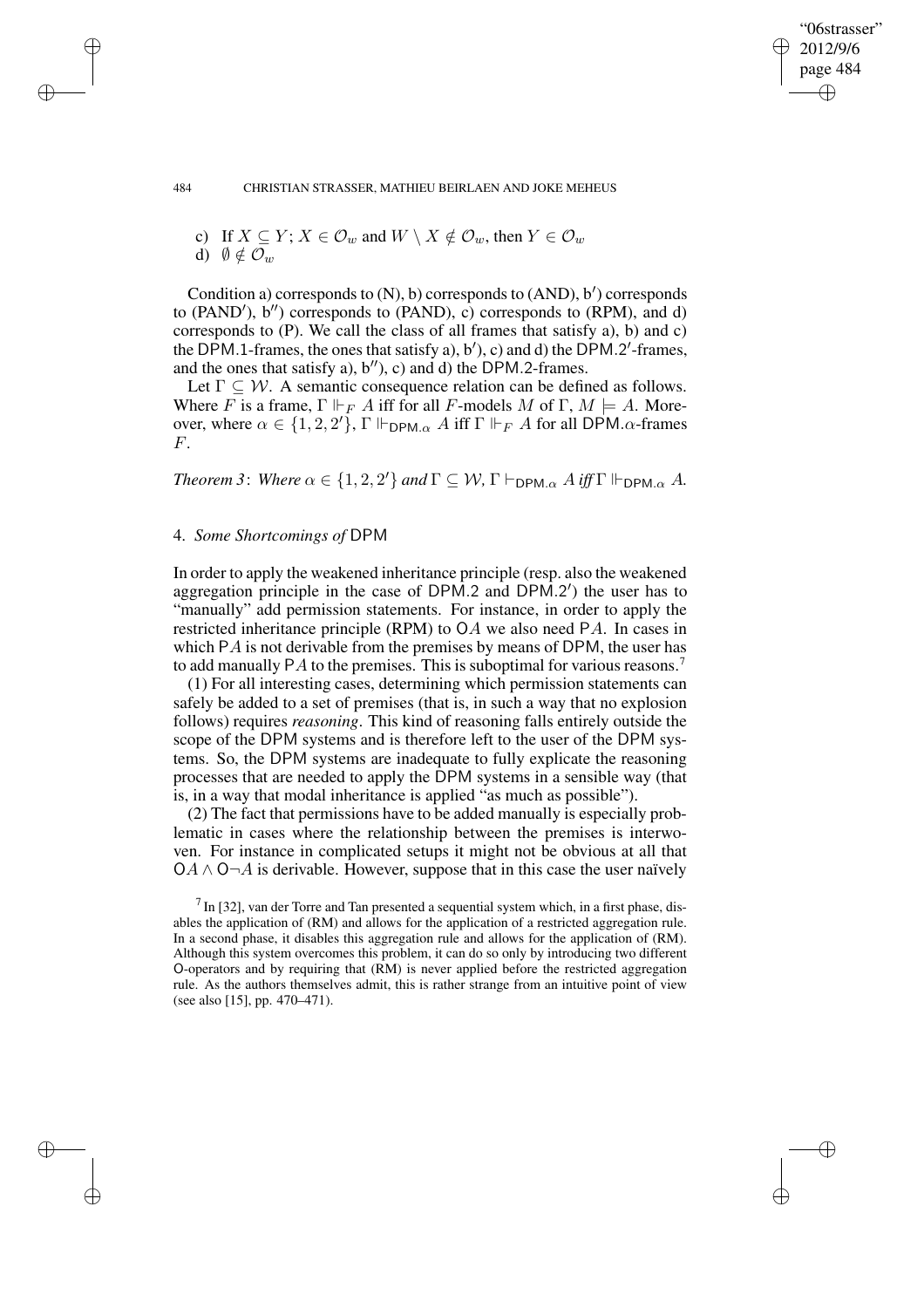✐

✐

#### 484 CHRISTIAN STRASSER, MATHIEU BEIRLAEN AND JOKE MEHEUS

c) If  $X \subseteq Y$ ;  $X \in \mathcal{O}_w$  and  $W \setminus X \notin \mathcal{O}_w$ , then  $Y \in \mathcal{O}_w$ d)  $\emptyset \notin \mathcal{O}_w$ 

Condition a) corresponds to (N), b) corresponds to (AND), b') corresponds to (PAND'),  $b''$ ) corresponds to (PAND), c) corresponds to (RPM), and d) corresponds to (P). We call the class of all frames that satisfy a), b) and c) the DPM.1-frames, the ones that satisfy a), b'), c) and d) the DPM.2'-frames, and the ones that satisfy a),  $b''$ , c) and d) the DPM.2-frames.

Let  $\Gamma \subseteq W$ . A semantic consequence relation can be defined as follows. Where F is a frame,  $\Gamma \Vdash_F A$  iff for all F-models M of  $\Gamma, M \models A$ . Moreover, where  $\alpha \in \{1, 2, 2'\}$ ,  $\Gamma \Vdash_{\text{DPM}.\alpha} A$  iff  $\Gamma \Vdash_{F} A$  for all DPM. $\alpha$ -frames F.

*Theorem* 3: *Where*  $\alpha \in \{1, 2, 2'\}$  *and*  $\Gamma \subseteq W$ ,  $\Gamma \vdash_{\mathsf{DPM}, \alpha} A$  *iff*  $\Gamma \Vdash_{\mathsf{DPM}, \alpha} A$ .

### 4. *Some Shortcomings of* DPM

✐

✐

✐

✐

In order to apply the weakened inheritance principle (resp. also the weakened aggregation principle in the case of DPM.2 and DPM.2') the user has to "manually" add permission statements. For instance, in order to apply the restricted inheritance principle (RPM) to OA we also need PA. In cases in which PA is not derivable from the premises by means of DPM, the user has to add manually PA to the premises. This is suboptimal for various reasons.<sup>7</sup>

(1) For all interesting cases, determining which permission statements can safely be added to a set of premises (that is, in such a way that no explosion follows) requires *reasoning*. This kind of reasoning falls entirely outside the scope of the DPM systems and is therefore left to the user of the DPM systems. So, the DPM systems are inadequate to fully explicate the reasoning processes that are needed to apply the DPM systems in a sensible way (that is, in a way that modal inheritance is applied "as much as possible").

(2) The fact that permissions have to be added manually is especially problematic in cases where the relationship between the premises is interwoven. For instance in complicated setups it might not be obvious at all that  $OA \wedge O \neg A$  is derivable. However, suppose that in this case the user naïvely

 $<sup>7</sup>$  In [32], van der Torre and Tan presented a sequential system which, in a first phase, dis-</sup> ables the application of (RM) and allows for the application of a restricted aggregation rule. In a second phase, it disables this aggregation rule and allows for the application of (RM). Although this system overcomes this problem, it can do so only by introducing two different O-operators and by requiring that (RM) is never applied before the restricted aggregation rule. As the authors themselves admit, this is rather strange from an intuitive point of view (see also [15], pp. 470–471).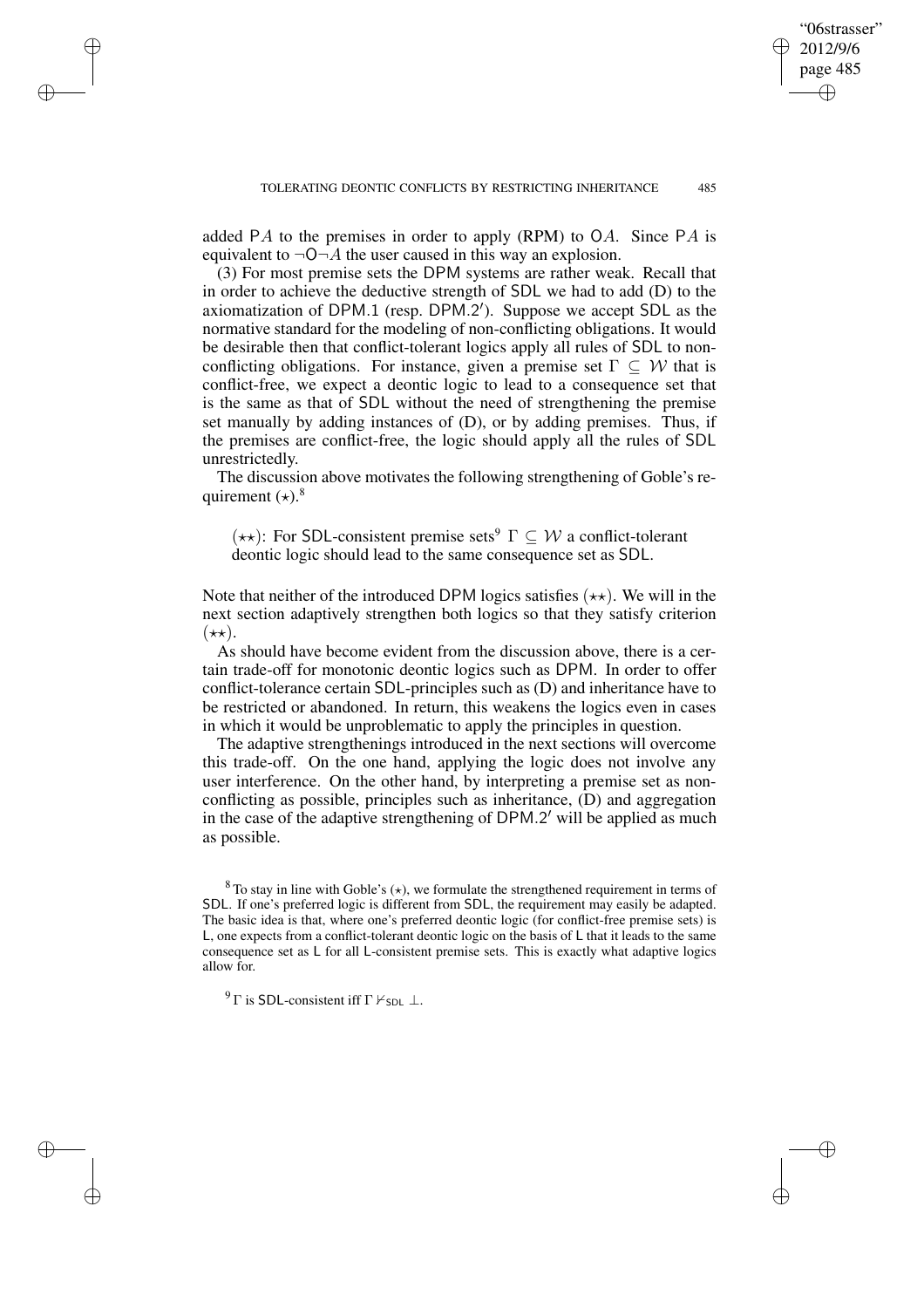added PA to the premises in order to apply (RPM) to  $OA$ . Since PA is equivalent to  $\neg$ O $\neg$ A the user caused in this way an explosion.

(3) For most premise sets the DPM systems are rather weak. Recall that in order to achieve the deductive strength of SDL we had to add (D) to the axiomatization of DPM.1 (resp. DPM.2'). Suppose we accept SDL as the normative standard for the modeling of non-conflicting obligations. It would be desirable then that conflict-tolerant logics apply all rules of SDL to nonconflicting obligations. For instance, given a premise set  $\Gamma \subseteq \mathcal{W}$  that is conflict-free, we expect a deontic logic to lead to a consequence set that is the same as that of SDL without the need of strengthening the premise set manually by adding instances of (D), or by adding premises. Thus, if the premises are conflict-free, the logic should apply all the rules of SDL unrestrictedly.

The discussion above motivates the following strengthening of Goble's requirement  $(*).$ <sup>8</sup>

 $(\star \star)$ : For SDL-consistent premise sets<sup>9</sup>  $\Gamma \subset \mathcal{W}$  a conflict-tolerant deontic logic should lead to the same consequence set as SDL.

Note that neither of the introduced DPM logics satisfies  $(\star \star)$ . We will in the next section adaptively strengthen both logics so that they satisfy criterion  $(\star \star).$ 

As should have become evident from the discussion above, there is a certain trade-off for monotonic deontic logics such as DPM. In order to offer conflict-tolerance certain SDL-principles such as (D) and inheritance have to be restricted or abandoned. In return, this weakens the logics even in cases in which it would be unproblematic to apply the principles in question.

The adaptive strengthenings introduced in the next sections will overcome this trade-off. On the one hand, applying the logic does not involve any user interference. On the other hand, by interpreting a premise set as nonconflicting as possible, principles such as inheritance, (D) and aggregation in the case of the adaptive strengthening of DPM.2' will be applied as much as possible.

 $8$  To stay in line with Goble's ( $\star$ ), we formulate the strengthened requirement in terms of SDL. If one's preferred logic is different from SDL, the requirement may easily be adapted. The basic idea is that, where one's preferred deontic logic (for conflict-free premise sets) is L, one expects from a conflict-tolerant deontic logic on the basis of L that it leads to the same consequence set as L for all L-consistent premise sets. This is exactly what adaptive logics allow for.

<sup>9</sup> Γ is SDL-consistent iff  $\Gamma \nvdash_{SDL} \bot$ .

✐

✐

✐

✐

"06strasser" 2012/9/6 page 485

✐

✐

✐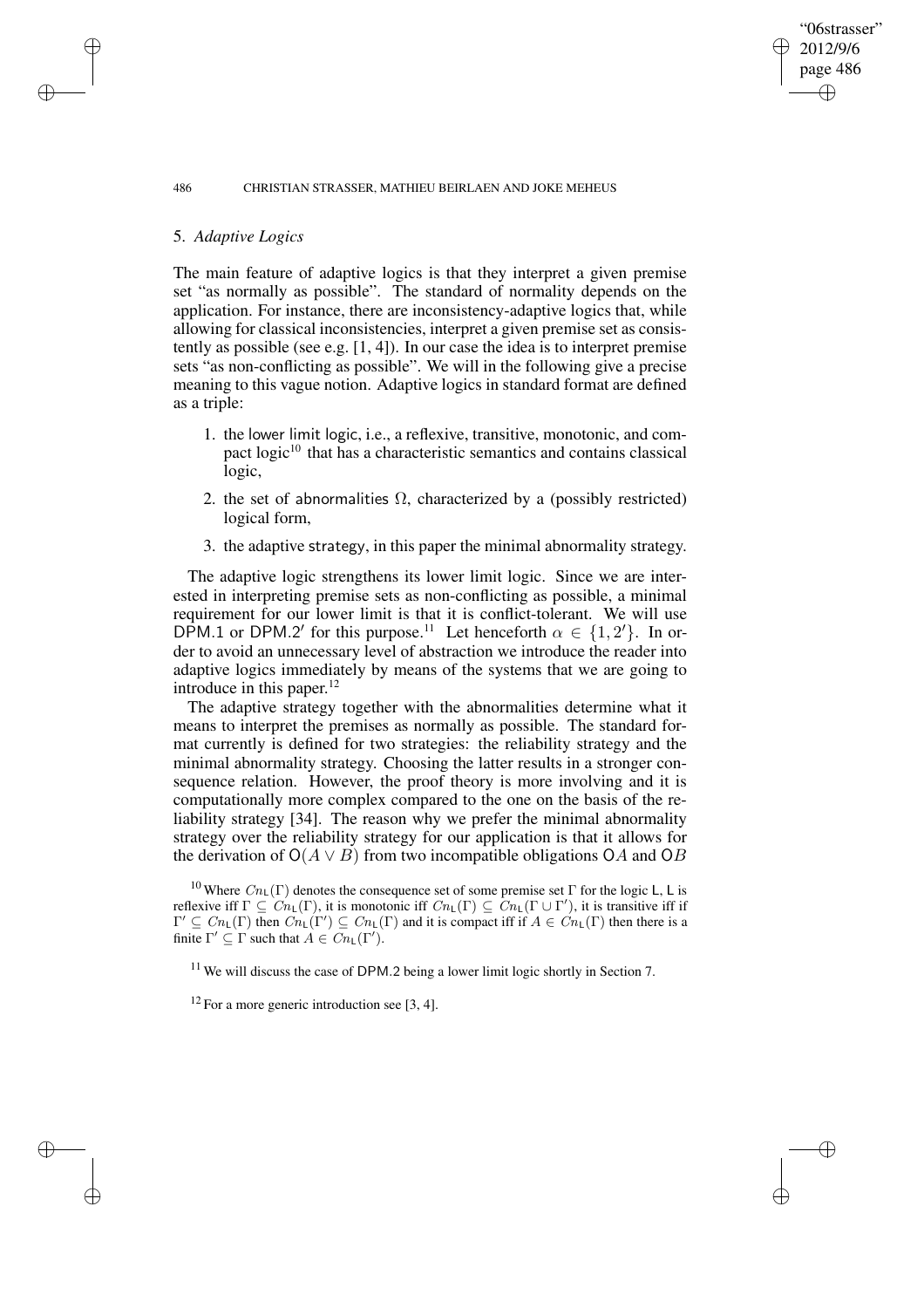# 5. *Adaptive Logics*

✐

✐

✐

✐

The main feature of adaptive logics is that they interpret a given premise set "as normally as possible". The standard of normality depends on the application. For instance, there are inconsistency-adaptive logics that, while allowing for classical inconsistencies, interpret a given premise set as consistently as possible (see e.g.  $[1, 4]$ ). In our case the idea is to interpret premise sets "as non-conflicting as possible". We will in the following give a precise meaning to this vague notion. Adaptive logics in standard format are defined as a triple:

"06strasser" 2012/9/6 page 486

✐

✐

✐

✐

- 1. the lower limit logic, i.e., a reflexive, transitive, monotonic, and compact  $logic<sup>10</sup>$  that has a characteristic semantics and contains classical logic,
- 2. the set of abnormalities  $\Omega$ , characterized by a (possibly restricted) logical form,
- 3. the adaptive strategy, in this paper the minimal abnormality strategy.

The adaptive logic strengthens its lower limit logic. Since we are interested in interpreting premise sets as non-conflicting as possible, a minimal requirement for our lower limit is that it is conflict-tolerant. We will use DPM.1 or DPM.2' for this purpose.<sup>11</sup> Let henceforth  $\alpha \in \{1, 2'\}$ . In order to avoid an unnecessary level of abstraction we introduce the reader into adaptive logics immediately by means of the systems that we are going to introduce in this paper.<sup>12</sup>

The adaptive strategy together with the abnormalities determine what it means to interpret the premises as normally as possible. The standard format currently is defined for two strategies: the reliability strategy and the minimal abnormality strategy. Choosing the latter results in a stronger consequence relation. However, the proof theory is more involving and it is computationally more complex compared to the one on the basis of the reliability strategy [34]. The reason why we prefer the minimal abnormality strategy over the reliability strategy for our application is that it allows for the derivation of  $O(A \vee B)$  from two incompatible obligations OA and OB

<sup>10</sup> Where  $Cn_{\text{L}}(\Gamma)$  denotes the consequence set of some premise set  $\Gamma$  for the logic L, L is reflexive iff  $\Gamma \subseteq \overline{Cn_{\mathsf{L}}(\Gamma)}$ , it is monotonic iff  $Cn_{\mathsf{L}}(\Gamma) \subseteq \overline{Cn_{\mathsf{L}}(\Gamma \cup \Gamma')}$ , it is transitive iff if  $\Gamma' \subseteq Cn_{\mathsf{L}}(\Gamma)$  then  $\overline{Cn_{\mathsf{L}}(\Gamma')} \subseteq Cn_{\mathsf{L}}(\Gamma)$  and it is compact iff if  $A \in \overline{Cn_{\mathsf{L}}(\Gamma)}$  then there is a finite  $\Gamma' \subseteq \Gamma$  such that  $A \in C_{n_{\text{L}}}(\Gamma')$ .

 $11$  We will discuss the case of DPM.2 being a lower limit logic shortly in Section 7.

 $12$  For a more generic introduction see [3, 4].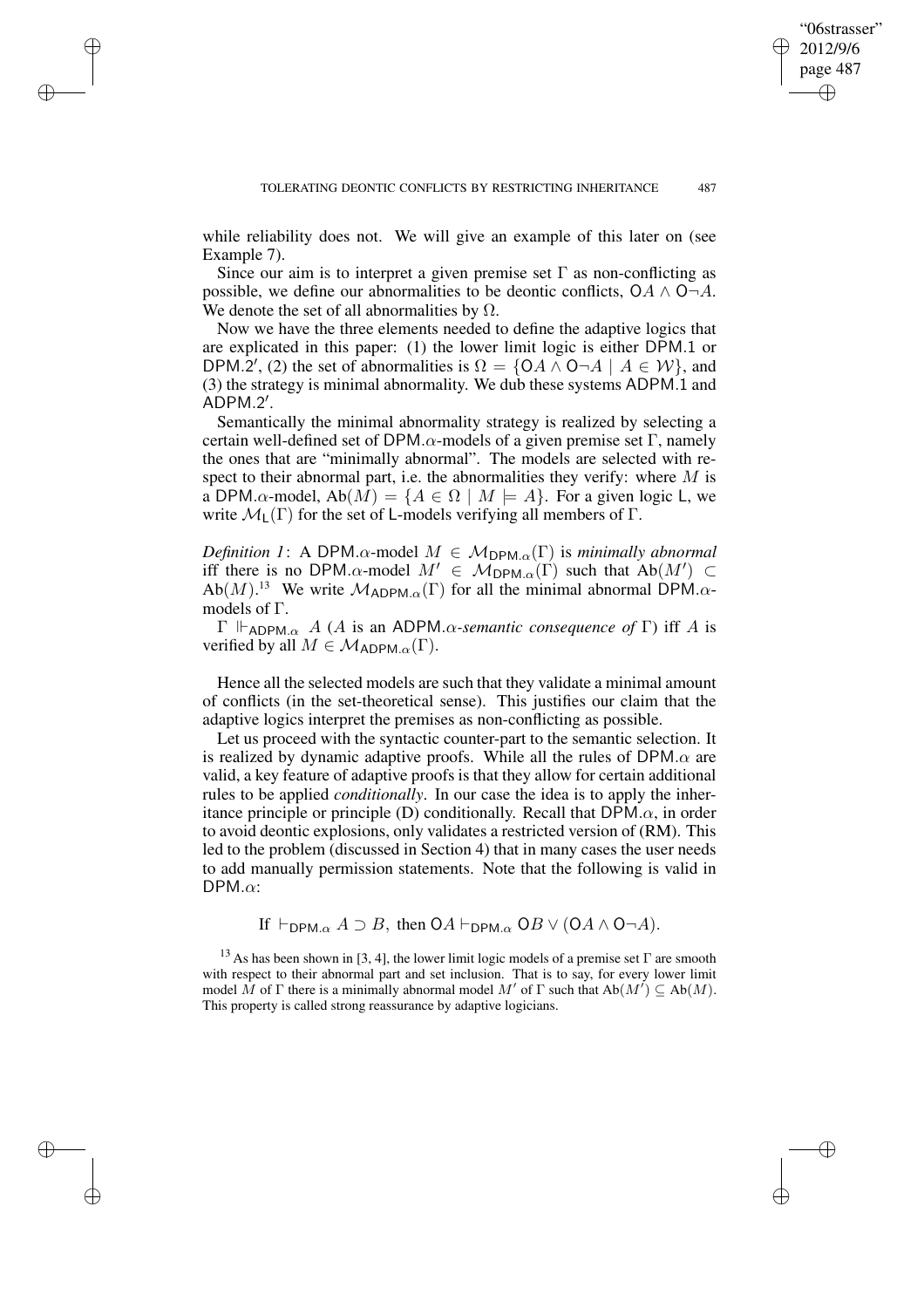while reliability does not. We will give an example of this later on (see Example 7).

✐

✐

✐

✐

Since our aim is to interpret a given premise set  $\Gamma$  as non-conflicting as possible, we define our abnormalities to be deontic conflicts,  $OA \wedge O \neg A$ . We denote the set of all abnormalities by  $\Omega$ .

Now we have the three elements needed to define the adaptive logics that are explicated in this paper: (1) the lower limit logic is either DPM.1 or DPM.2', (2) the set of abnormalities is  $\Omega = \{OA \wedge O \neg A \mid A \in \mathcal{W}\}\)$ , and (3) the strategy is minimal abnormality. We dub these systems ADPM.1 and  $ADPM.2'$ .

Semantically the minimal abnormality strategy is realized by selecting a certain well-defined set of DPM. $\alpha$ -models of a given premise set  $\Gamma$ , namely the ones that are "minimally abnormal". The models are selected with respect to their abnormal part, i.e. the abnormalities they verify: where  $M$  is a DPM. $\alpha$ -model, Ab $(M) = \{A \in \Omega \mid M \models A\}$ . For a given logic L, we write  $\mathcal{M}_L(\Gamma)$  for the set of L-models verifying all members of  $\Gamma$ .

*Definition* 1: A DPM. $\alpha$ -model  $M \in M_{DPM,\alpha}(\Gamma)$  is *minimally abnormal* iff there is no DPM. $\alpha$ -model  $M' \in M_{\text{DPM}.\alpha}(\Gamma)$  such that  $Ab(M') \subset$  $Ab(M)$ <sup>13</sup> We write  $\mathcal{M}_{ADPM,\alpha}(\Gamma)$  for all the minimal abnormal DPM. $\alpha$ models of Γ.

Γ ADPM.α A (A is an ADPM.α*-semantic consequence of* Γ) iff A is verified by all  $M \in \mathcal{M}_{ADPM,\alpha}(\Gamma)$ .

Hence all the selected models are such that they validate a minimal amount of conflicts (in the set-theoretical sense). This justifies our claim that the adaptive logics interpret the premises as non-conflicting as possible.

Let us proceed with the syntactic counter-part to the semantic selection. It is realized by dynamic adaptive proofs. While all the rules of  $DPM \alpha$  are valid, a key feature of adaptive proofs is that they allow for certain additional rules to be applied *conditionally*. In our case the idea is to apply the inheritance principle or principle (D) conditionally. Recall that  $DPM.\alpha$ , in order to avoid deontic explosions, only validates a restricted version of (RM). This led to the problem (discussed in Section 4) that in many cases the user needs to add manually permission statements. Note that the following is valid in  $DPM.\alpha$ :

If  $\vdash_{\mathsf{DPM}.\alpha} A \supset B$ , then  $\mathsf{O}A \vdash_{\mathsf{DPM}.\alpha} \mathsf{O}B \vee (\mathsf{O}A \wedge \mathsf{O}\neg A)$ .

<sup>13</sup> As has been shown in [3, 4], the lower limit logic models of a premise set  $\Gamma$  are smooth with respect to their abnormal part and set inclusion. That is to say, for every lower limit model  $\dot{M}$  of  $\Gamma$  there is a minimally abnormal model  $M'$  of  $\Gamma$  such that  $Ab(M') \subseteq Ab(M)$ . This property is called strong reassurance by adaptive logicians.

"06strasser" 2012/9/6 page 487

✐

✐

✐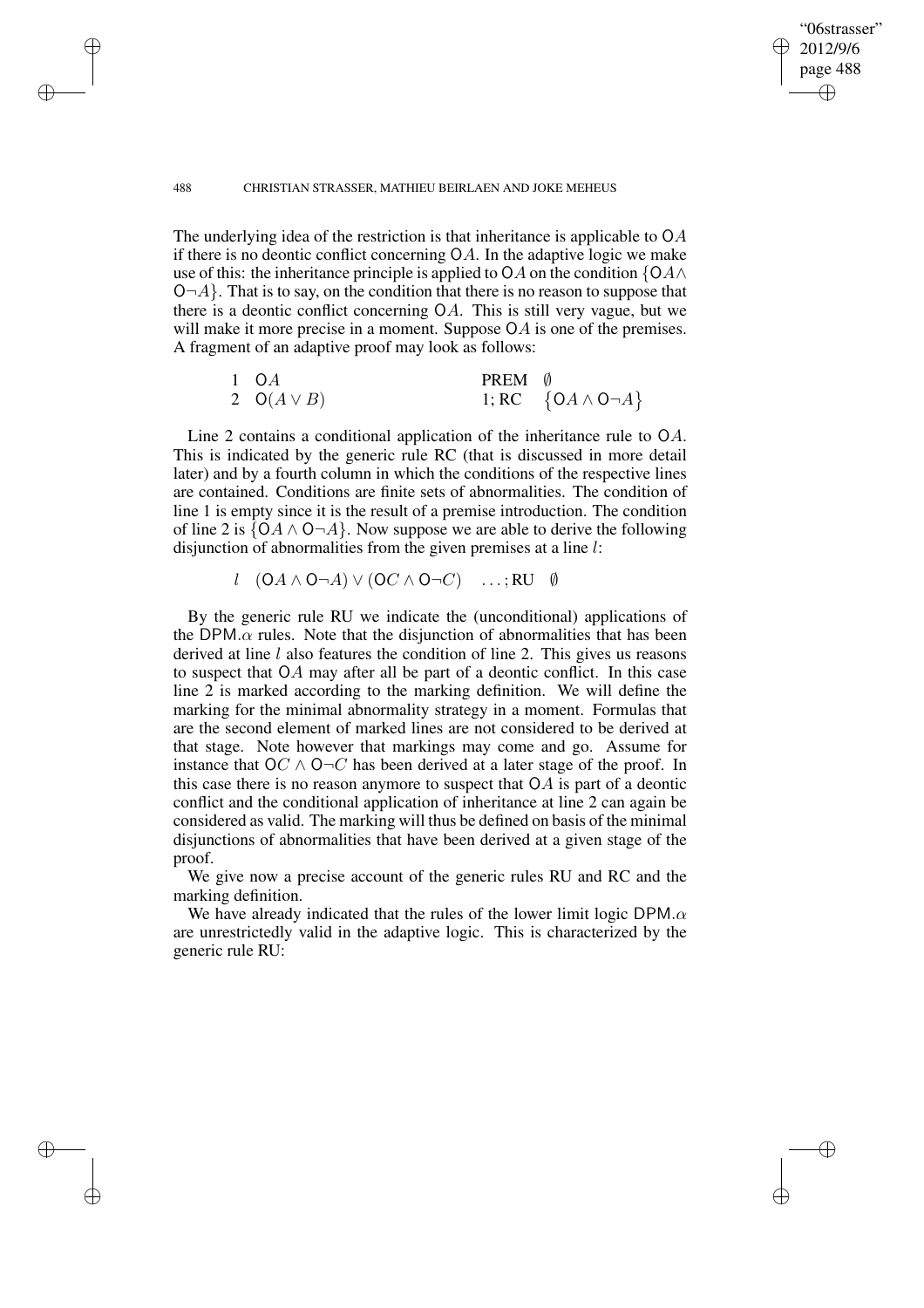✐

✐

✐

✐

The underlying idea of the restriction is that inheritance is applicable to OA if there is no deontic conflict concerning OA. In the adaptive logic we make use of this: the inheritance principle is applied to OA on the condition  $\{OA \wedge$  $\mathcal{O}\neg A$ . That is to say, on the condition that there is no reason to suppose that there is a deontic conflict concerning OA. This is still very vague, but we will make it more precise in a moment. Suppose OA is one of the premises. A fragment of an adaptive proof may look as follows:

"06strasser" 2012/9/6 page 488

✐

✐

✐

✐

| $1 \quad OA$    | PREM 0 |                                |
|-----------------|--------|--------------------------------|
| 2 $O(A \vee B)$ |        | 1; RC $\{OA \wedge O \neg A\}$ |

Line 2 contains a conditional application of the inheritance rule to OA. This is indicated by the generic rule RC (that is discussed in more detail later) and by a fourth column in which the conditions of the respective lines are contained. Conditions are finite sets of abnormalities. The condition of line 1 is empty since it is the result of a premise introduction. The condition of line 2 is  $\{OA \land O \neg A\}$ . Now suppose we are able to derive the following disjunction of abnormalities from the given premises at a line l:

$$
l \quad (\mathsf{O} A \land \mathsf{O} \neg A) \lor (\mathsf{O} C \land \mathsf{O} \neg C) \quad \dots; \mathsf{RU} \quad \emptyset
$$

By the generic rule RU we indicate the (unconditional) applications of the DPM. $\alpha$  rules. Note that the disjunction of abnormalities that has been derived at line  $l$  also features the condition of line 2. This gives us reasons to suspect that OA may after all be part of a deontic conflict. In this case line 2 is marked according to the marking definition. We will define the marking for the minimal abnormality strategy in a moment. Formulas that are the second element of marked lines are not considered to be derived at that stage. Note however that markings may come and go. Assume for instance that  $OC \wedge O\neg C$  has been derived at a later stage of the proof. In this case there is no reason anymore to suspect that  $OA$  is part of a deontic conflict and the conditional application of inheritance at line 2 can again be considered as valid. The marking will thus be defined on basis of the minimal disjunctions of abnormalities that have been derived at a given stage of the proof.

We give now a precise account of the generic rules RU and RC and the marking definition.

We have already indicated that the rules of the lower limit logic DPM. $\alpha$ are unrestrictedly valid in the adaptive logic. This is characterized by the generic rule RU: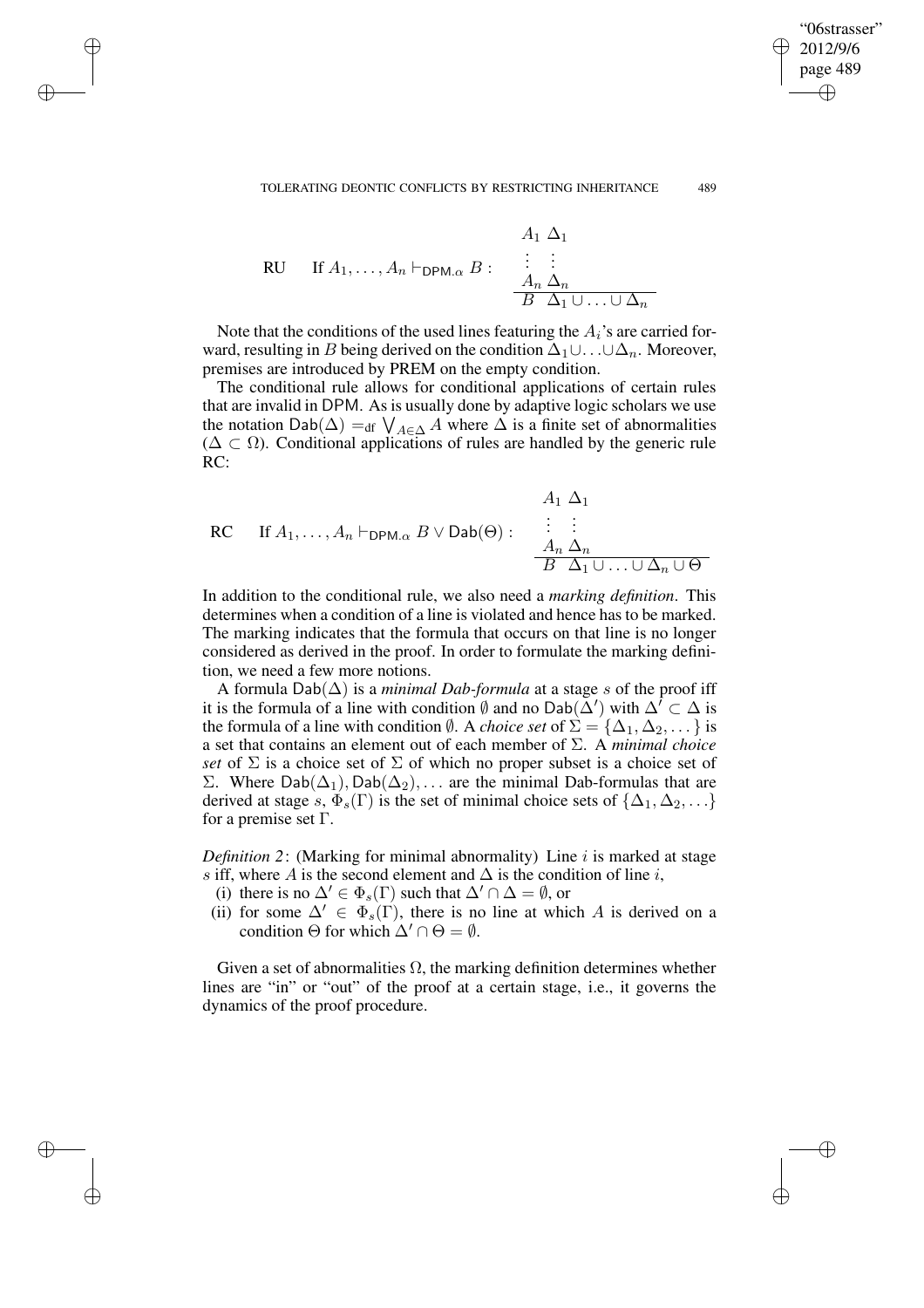$$
\begin{array}{ll}\n & A_1 \; \Delta_1 \\
\text{RU} & \text{If } A_1, \ldots, A_n \vdash_{\text{DPM}.\alpha} B: \quad \begin{array}{c} \vdots & \vdots \\
\Delta_n \; \Delta_n \\
\hline\nB \; \Delta_1 \cup \ldots \cup \Delta_n\n\end{array}\n\end{array}
$$

✐

✐

✐

✐

Note that the conditions of the used lines featuring the  $A_i$ 's are carried forward, resulting in B being derived on the condition  $\Delta_1 \cup ... \cup \Delta_n$ . Moreover, premises are introduced by PREM on the empty condition.

The conditional rule allows for conditional applications of certain rules that are invalid in DPM. As is usually done by adaptive logic scholars we use the notation Dab( $\Delta$ ) =<sub>df</sub>  $\bigvee_{A \in \Delta} A$  where  $\Delta$  is a finite set of abnormalities  $(\Delta \subset \Omega)$ . Conditional applications of rules are handled by the generic rule RC:

$$
A_1 \Delta_1
$$
  
RC If  $A_1, ..., A_n \vdash_{\mathsf{DPM}.\alpha} B \lor \mathsf{Dab}(\Theta)$ :  $\vdots$   $\vdots$   
 $A_n \Delta_n$   
 $B \Delta_1 \cup ... \cup \Delta_n \cup \Theta$ 

In addition to the conditional rule, we also need a *marking definition*. This determines when a condition of a line is violated and hence has to be marked. The marking indicates that the formula that occurs on that line is no longer considered as derived in the proof. In order to formulate the marking definition, we need a few more notions.

A formula Dab(∆) is a *minimal Dab-formula* at a stage s of the proof iff it is the formula of a line with condition  $\emptyset$  and no Dab( $\check{\Delta}'$ ) with  $\Delta' \subset \Delta$  is the formula of a line with condition  $\emptyset$ . A *choice set* of  $\Sigma = {\Delta_1, \Delta_2, \dots}$  is a set that contains an element out of each member of Σ. A *minimal choice set* of  $\Sigma$  is a choice set of  $\Sigma$  of which no proper subset is a choice set of Σ. Where Dab( $\Delta_1$ ), Dab( $\Delta_2$ ), ... are the minimal Dab-formulas that are derived at stage s,  $\Phi_s(\Gamma)$  is the set of minimal choice sets of  $\{\Delta_1, \Delta_2, \ldots\}$ for a premise set  $\Gamma$ .

*Definition 2*: (Marking for minimal abnormality) Line i is marked at stage s iff, where A is the second element and  $\Delta$  is the condition of line i,

- (i) there is no  $\Delta' \in \Phi_s(\Gamma)$  such that  $\Delta' \cap \Delta = \emptyset$ , or
- (ii) for some  $\Delta' \in \Phi_s(\Gamma)$ , there is no line at which A is derived on a condition  $\Theta$  for which  $\Delta' \cap \Theta = \emptyset$ .

Given a set of abnormalities  $\Omega$ , the marking definition determines whether lines are "in" or "out" of the proof at a certain stage, i.e., it governs the dynamics of the proof procedure.

"06strasser" 2012/9/6 page 489

✐

✐

✐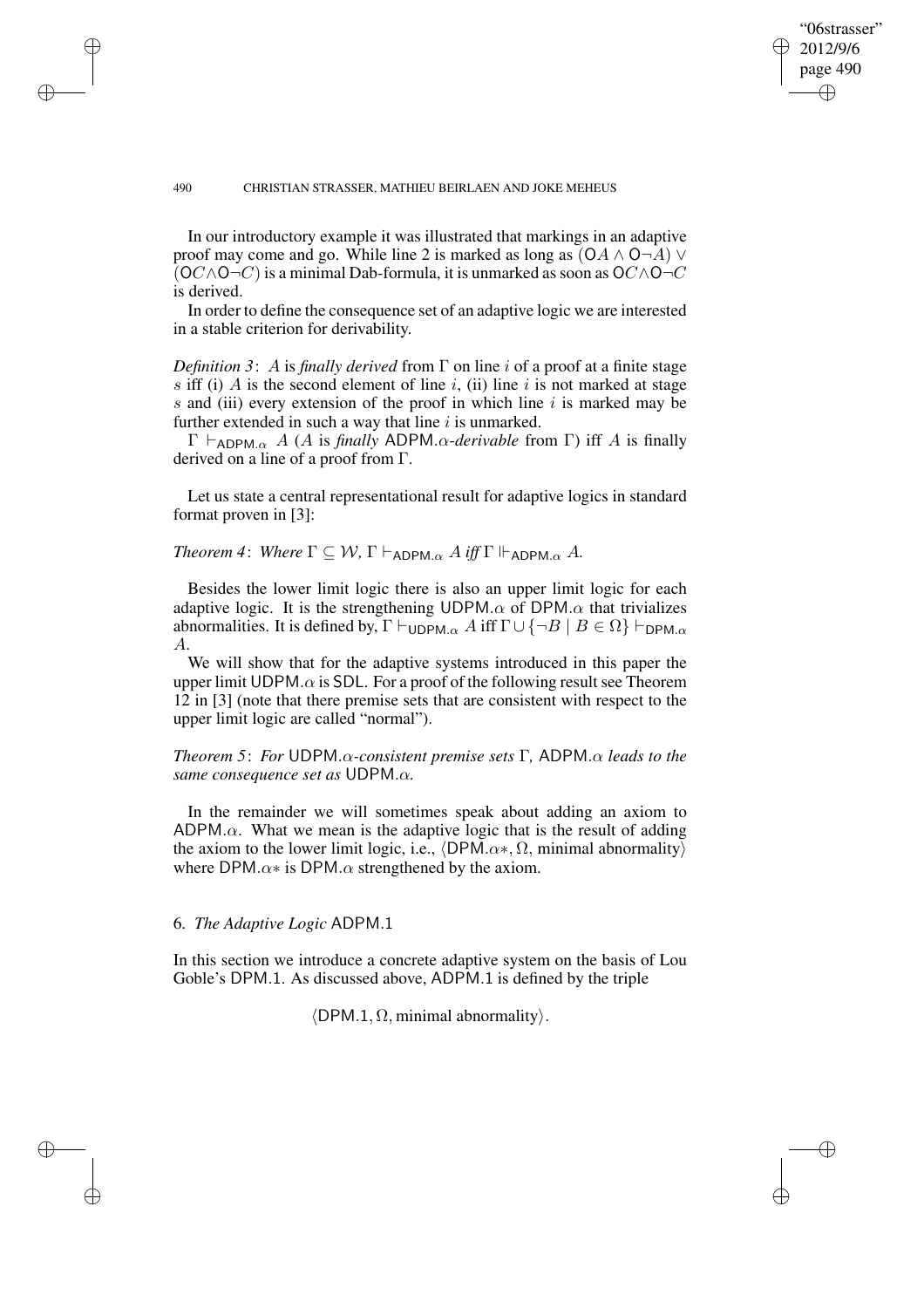✐

✐

✐

✐

In our introductory example it was illustrated that markings in an adaptive proof may come and go. While line 2 is marked as long as  $(OA \wedge O\neg A)$   $\vee$  $(OC \land O\neg C)$  is a minimal Dab-formula, it is unmarked as soon as  $OC \land O\neg C$ is derived.

"06strasser" 2012/9/6 page 490

✐

✐

✐

✐

In order to define the consequence set of an adaptive logic we are interested in a stable criterion for derivability.

*Definition* 3: A is *finally derived* from  $\Gamma$  on line *i* of a proof at a finite stage s iff (i)  $\tilde{A}$  is the second element of line i, (ii) line i is not marked at stage s and (iii) every extension of the proof in which line  $i$  is marked may be further extended in such a way that line  $i$  is unmarked.

 $Γ ⊢<sub>ADPM.α</sub> A (A is *finally* ADPM.α-*derivable* from Γ) iff A is finally$ derived on a line of a proof from Γ.

Let us state a central representational result for adaptive logics in standard format proven in [3]:

*Theorem 4: Where*  $\Gamma \subseteq W$ ,  $\Gamma \vdash_{ADPM.\alpha} A$  *iff*  $\Gamma \Vdash_{ADPM.\alpha} A$ .

Besides the lower limit logic there is also an upper limit logic for each adaptive logic. It is the strengthening UDPM. $\alpha$  of DPM. $\alpha$  that trivializes abnormalities. It is defined by,  $\Gamma \vdash_{\text{UDPM}.\alpha} A$  iff  $\Gamma \cup \{\neg B \mid B \in \Omega\} \vdash_{\text{DPM}.\alpha}$ A.

We will show that for the adaptive systems introduced in this paper the upper limit UDPM. $\alpha$  is SDL. For a proof of the following result see Theorem 12 in [3] (note that there premise sets that are consistent with respect to the upper limit logic are called "normal").

*Theorem 5*: *For* UDPM.α*-consistent premise sets* Γ*,* ADPM.α *leads to the same consequence set as* UDPM.α*.*

In the remainder we will sometimes speak about adding an axiom to ADPM. $\alpha$ . What we mean is the adaptive logic that is the result of adding the axiom to the lower limit logic, i.e.,  $\langle$ DPM. $\alpha$ <sup>\*</sup>,  $\Omega$ , minimal abnormality) where DPM. $\alpha$ <sup>\*</sup> is DPM. $\alpha$  strengthened by the axiom.

6. *The Adaptive Logic* ADPM.1

In this section we introduce a concrete adaptive system on the basis of Lou Goble's DPM.1. As discussed above, ADPM.1 is defined by the triple

 $\langle$ DPM.1,  $\Omega$ , minimal abnormality $\rangle$ .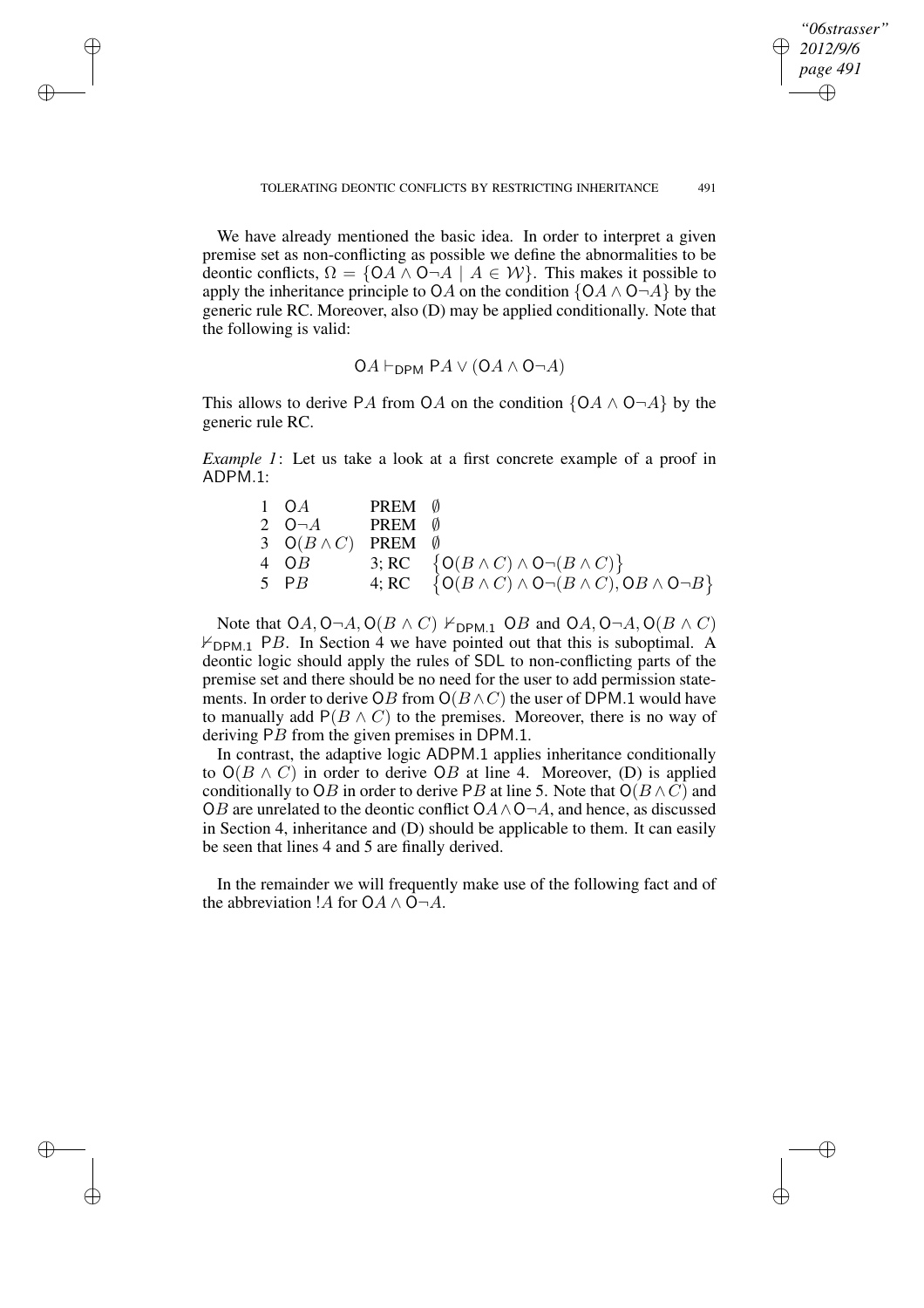✐

✐

✐

✐

We have already mentioned the basic idea. In order to interpret a given premise set as non-conflicting as possible we define the abnormalities to be deontic conflicts,  $\Omega = \{OA \land O \neg A \mid A \in \mathcal{W}\}\$ . This makes it possible to apply the inheritance principle to OA on the condition  $\{OA \land O \neg A\}$  by the generic rule RC. Moreover, also (D) may be applied conditionally. Note that the following is valid:

✐

✐

✐

✐

$$
OA \vdash_{\sf{DPM}} PA \vee (OA \wedge O \neg A)
$$

This allows to derive PA from OA on the condition  $\{OA \land O \neg A\}$  by the generic rule RC.

*Example 1*: Let us take a look at a first concrete example of a proof in ADPM.1:

| $1 \quad OA$                       | PREM Ø |                                                                          |
|------------------------------------|--------|--------------------------------------------------------------------------|
| 2 $O \neg A$ PREM $\emptyset$      |        |                                                                          |
| 3 $O(B \wedge C)$ PREM $\emptyset$ |        |                                                                          |
| $4 \tOB$                           |        | 3; RC $\{O(B \wedge C) \wedge O\neg(B \wedge C)\}\$                      |
| $5$ PB                             |        | 4; RC $\{O(B \wedge C) \wedge O \neg (B \wedge C), OB \wedge O \neg B\}$ |

Note that  $OA, O \neg A, O(B \wedge C) \nvdash_{DPM.1} OB$  and  $OA, O \neg A, O(B \wedge C)$  $\nvdash_{\text{DPM.1}}$  PB. In Section 4 we have pointed out that this is suboptimal. A deontic logic should apply the rules of SDL to non-conflicting parts of the premise set and there should be no need for the user to add permission statements. In order to derive OB from  $O(B \wedge C)$  the user of DPM.1 would have to manually add  $P(B \wedge C)$  to the premises. Moreover, there is no way of deriving PB from the given premises in DPM.1.

In contrast, the adaptive logic ADPM.1 applies inheritance conditionally to  $O(B \wedge C)$  in order to derive OB at line 4. Moreover, (D) is applied conditionally to OB in order to derive PB at line 5. Note that  $O(B \wedge C)$  and OB are unrelated to the deontic conflict  $OA \wedge O \neg A$ , and hence, as discussed in Section 4, inheritance and (D) should be applicable to them. It can easily be seen that lines 4 and 5 are finally derived.

In the remainder we will frequently make use of the following fact and of the abbreviation !A for  $OA \wedge O \neg A$ .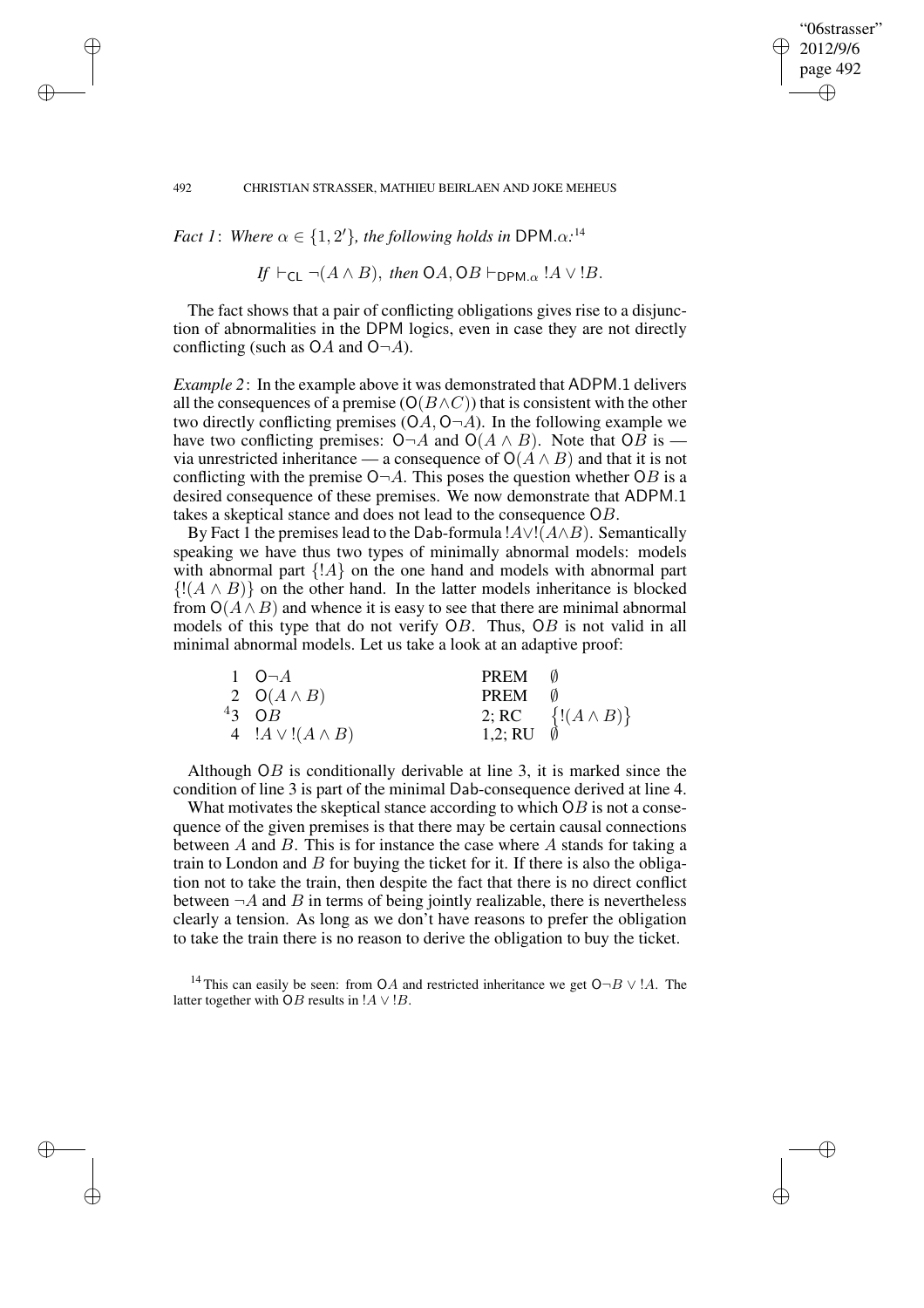*Fact* 1: *Where*  $\alpha \in \{1, 2'\}$ *, the following holds in* DPM. $\alpha$ <sup>14</sup>

If 
$$
\vdash_{\mathsf{CL}} \neg(A \land B)
$$
, then  $OA$ ,  $OB \vdash_{\mathsf{DPM}.\alpha}$ !  $A \lor B$ .

"06strasser" 2012/9/6 page 492

✐

✐

✐

✐

The fact shows that a pair of conflicting obligations gives rise to a disjunction of abnormalities in the DPM logics, even in case they are not directly conflicting (such as  $OA$  and  $O\neg A$ ).

*Example 2*: In the example above it was demonstrated that ADPM.1 delivers all the consequences of a premise ( $O(B \wedge C)$ ) that is consistent with the other two directly conflicting premises  $(OA, O<sub>l</sub>A)$ . In the following example we have two conflicting premises: O¬A and O( $A \wedge B$ ). Note that OB is via unrestricted inheritance — a consequence of  $O(A \wedge B)$  and that it is not conflicting with the premise  $O\neg A$ . This poses the question whether OB is a desired consequence of these premises. We now demonstrate that ADPM.1 takes a skeptical stance and does not lead to the consequence OB.

By Fact 1 the premises lead to the Dab-formula  $A \vee (A \wedge B)$ . Semantically speaking we have thus two types of minimally abnormal models: models with abnormal part  $\{A\}$  on the one hand and models with abnormal part  $\{(A \wedge B)\}\$  on the other hand. In the latter models inheritance is blocked from  $O(A \wedge B)$  and whence it is easy to see that there are minimal abnormal models of this type that do not verify OB. Thus, OB is not valid in all minimal abnormal models. Let us take a look at an adaptive proof:

| $1 \quad O \neg A$       | PREM    |                            |
|--------------------------|---------|----------------------------|
| 2 $O(A \wedge B)$        | PREM    |                            |
| $43 \overline{OB}$       |         | 2; RC $\{!(A \wedge B)\}\$ |
| 4 $!A \vee (A \wedge B)$ | 1,2; RU |                            |

Although OB is conditionally derivable at line 3, it is marked since the condition of line 3 is part of the minimal Dab-consequence derived at line 4.

What motivates the skeptical stance according to which  $\overline{OB}$  is not a consequence of the given premises is that there may be certain causal connections between A and B. This is for instance the case where A stands for taking a train to London and  $B$  for buying the ticket for it. If there is also the obligation not to take the train, then despite the fact that there is no direct conflict between  $\neg A$  and B in terms of being jointly realizable, there is nevertheless clearly a tension. As long as we don't have reasons to prefer the obligation to take the train there is no reason to derive the obligation to buy the ticket.

<sup>14</sup> This can easily be seen: from OA and restricted inheritance we get O $\neg B \lor !A$ . The latter together with OB results in  $!A \vee B$ .

✐

✐

✐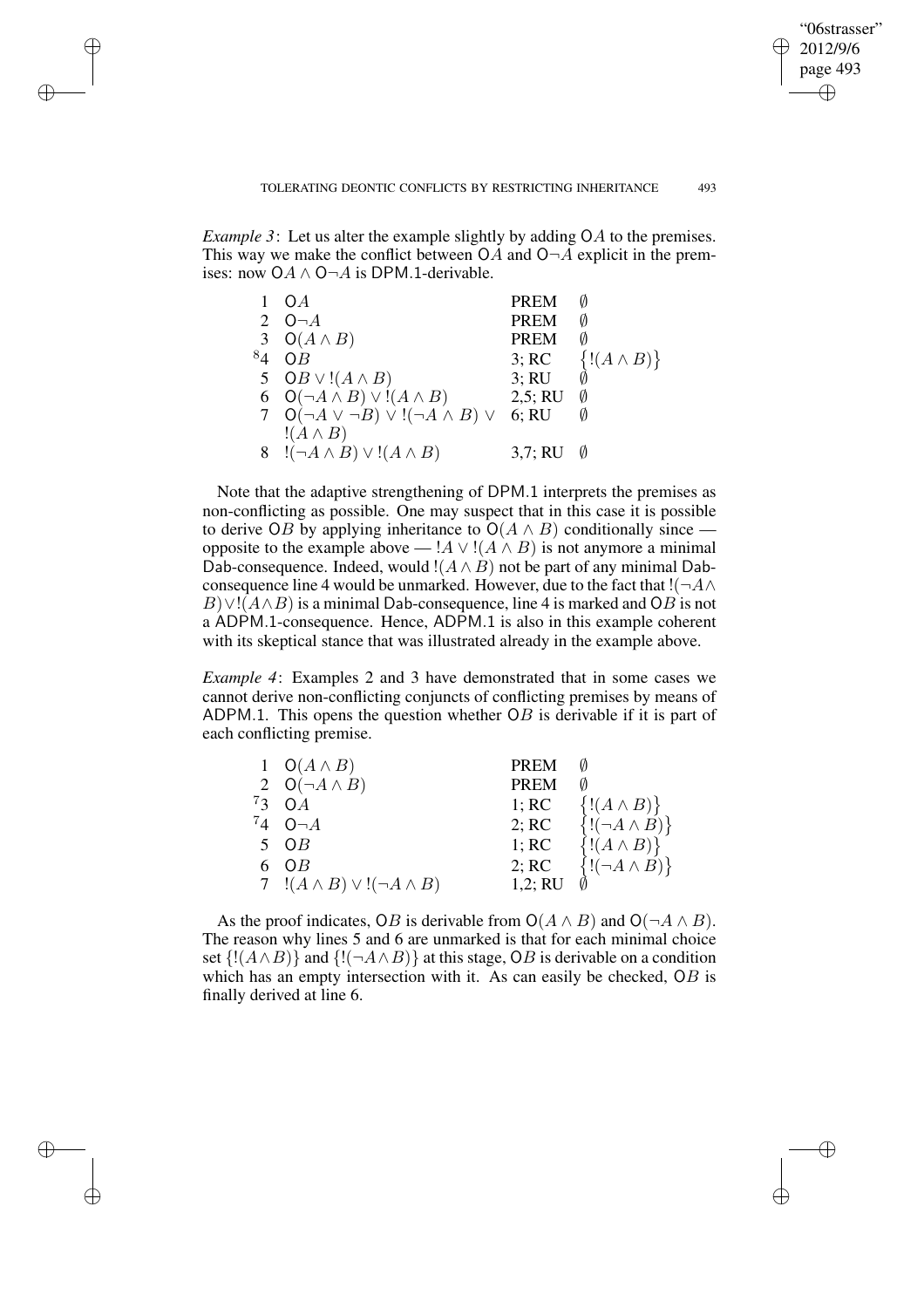✐

✐

✐

✐

*Example* 3: Let us alter the example slightly by adding OA to the premises. This way we make the conflict between  $OA$  and  $O\neg A$  explicit in the premises: now  $OA \wedge O \neg A$  is DPM.1-derivable.

✐

✐

✐

✐

|         | O A                                                   | <b>PREM</b> |                     |
|---------|-------------------------------------------------------|-------------|---------------------|
|         | 2 $O\neg A$                                           | <b>PREM</b> | Ø                   |
|         | 3 $O(A \wedge B)$                                     | <b>PREM</b> | Ø                   |
| $^{8}4$ | $\overline{OB}$                                       | 3; RC       | $\{(A \wedge B)\}\$ |
|         | 5 $OB \vee !(A \wedge B)$                             | 3; RU       |                     |
|         | 6 $O(\neg A \land B) \lor !(A \land B)$               | 2,5; RU     | Ø                   |
|         | 7 $O(\neg A \lor \neg B) \lor !(\neg A \land B) \lor$ | 6; RU       |                     |
|         | $!(A \wedge B)$                                       |             |                     |
|         | 8 $!(\neg A \wedge B) \vee ((A \wedge B))$            | 3,7; RU     |                     |

Note that the adaptive strengthening of DPM.1 interprets the premises as non-conflicting as possible. One may suspect that in this case it is possible to derive OB by applying inheritance to  $O(A \wedge B)$  conditionally since opposite to the example above — ! $A \vee (A \wedge B)$  is not anymore a minimal Dab-consequence. Indeed, would  $!(A \wedge B)$  not be part of any minimal Dabconsequence line 4 would be unmarked. However, due to the fact that  $! (\neg A \wedge$  $B\vee (A\wedge B)$  is a minimal Dab-consequence, line 4 is marked and OB is not a ADPM.1-consequence. Hence, ADPM.1 is also in this example coherent with its skeptical stance that was illustrated already in the example above.

*Example 4*: Examples 2 and 3 have demonstrated that in some cases we cannot derive non-conflicting conjuncts of conflicting premises by means of ADPM.1. This opens the question whether  $\overline{OB}$  is derivable if it is part of each conflicting premise.

|    | 1 $O(A \wedge B)$                          | <b>PREM</b> |                           |
|----|--------------------------------------------|-------------|---------------------------|
|    | 2 $O(\neg A \land B)$                      | <b>PREM</b> |                           |
| 73 | $\Omega A$                                 | 1; RC       | $\{(A \wedge B)\}\$       |
|    | $74\quad O\neg A$                          | 2; RC       | $\{!(\neg A \wedge B)\}\$ |
|    | $5 \tOB$                                   | 1; RC       | $\{(A \wedge B)\}\$       |
|    | 6 OB                                       | 2; RC       | $\{!(\neg A \wedge B)\}\$ |
|    | 7 $!(A \wedge B) \vee ((\neg A \wedge B))$ | 1,2; RU     |                           |

As the proof indicates, OB is derivable from  $O(A \wedge B)$  and  $O(\neg A \wedge B)$ . The reason why lines 5 and 6 are unmarked is that for each minimal choice set  $\{!(A \wedge B)\}$  and  $\{!(\neg A \wedge B)\}$  at this stage, OB is derivable on a condition which has an empty intersection with it. As can easily be checked, OB is finally derived at line 6.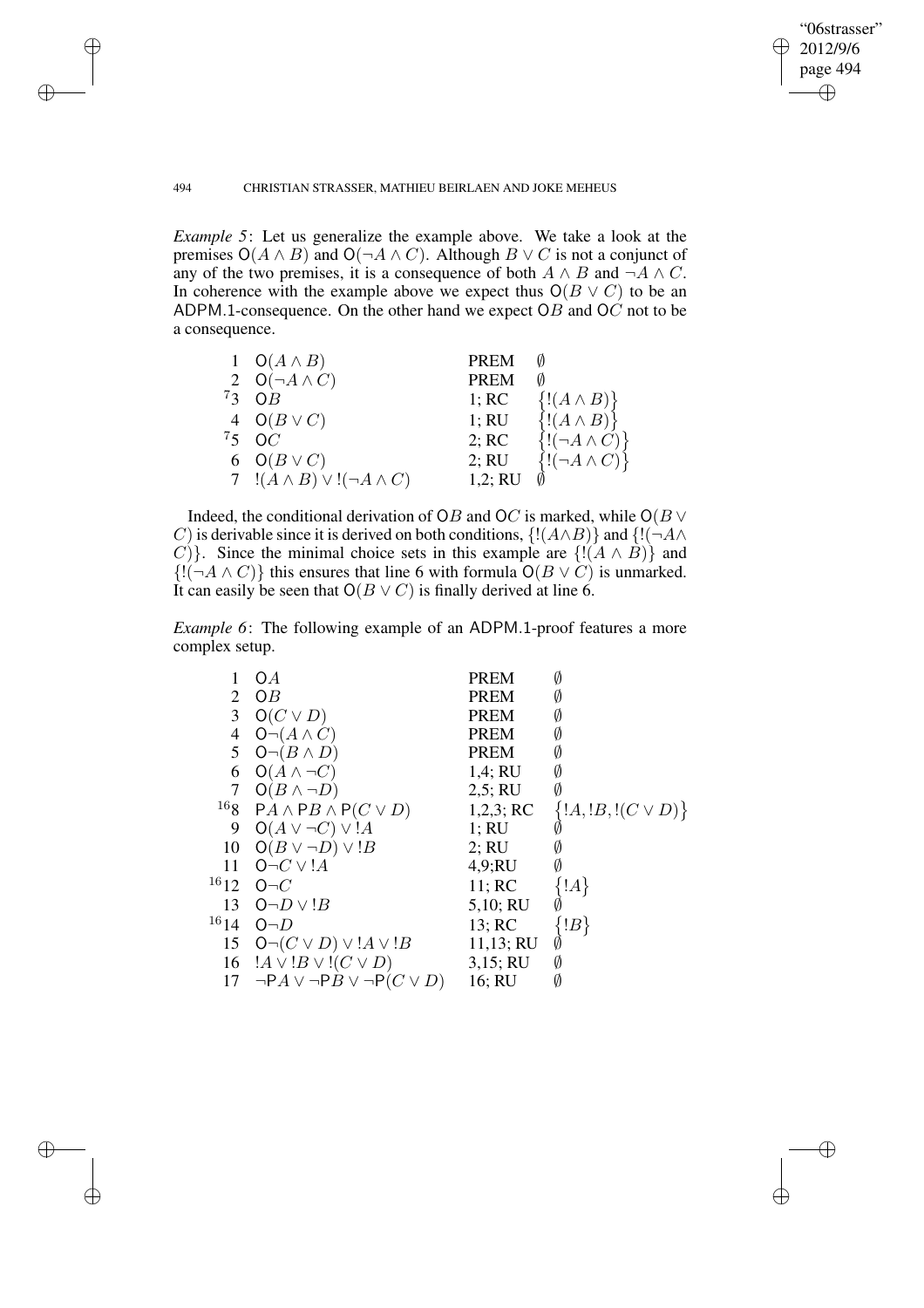$\bigoplus$ 

✐

### 494 CHRISTIAN STRASSER, MATHIEU BEIRLAEN AND JOKE MEHEUS

✐

✐

✐

✐

*Example 5*: Let us generalize the example above. We take a look at the premises  $O(A \wedge B)$  and  $O(\neg A \wedge C)$ . Although  $B \vee C$  is not a conjunct of any of the two premises, it is a consequence of both  $A \wedge B$  and  $\neg A \wedge C$ . In coherence with the example above we expect thus  $O(B \vee C)$  to be an ADPM.1-consequence. On the other hand we expect  $OB$  and  $OC$  not to be a consequence.

| 1 $O(A \wedge B)$                         | <b>PREM</b> |                           |
|-------------------------------------------|-------------|---------------------------|
| 2 $O(\neg A \wedge C)$                    | <b>PREM</b> |                           |
| $73 \quad \text{OB}$                      | 1; RC       | $\{(A \wedge B)\}\$       |
| 4 $O(B \vee C)$                           | 1; RU       | $\{(A \wedge B)\}\$       |
| ${}^{7}5$ OC                              | 2; RC       | $\{!(\neg A \wedge C)\}\$ |
| 6 $O(B \vee C)$                           | 2; RU       | $\{!(\neg A \wedge C)\}\$ |
| 7 $!(A \wedge B) \vee !(\neg A \wedge C)$ | 1,2; RU     |                           |

Indeed, the conditional derivation of OB and OC is marked, while  $O(B \vee$ C) is derivable since it is derived on both conditions,  $\{!(A \wedge B)\}\$  and  $\{!(\neg A \wedge B)\}\$ C)}. Since the minimal choice sets in this example are  $\{!(A \wedge B)\}$  and  $\{!(\neg A \wedge C)\}$  this ensures that line 6 with formula  $O(B \vee C)$  is unmarked. It can easily be seen that  $O(B \vee C)$  is finally derived at line 6.

*Example 6*: The following example of an ADPM.1-proof features a more complex setup.

| 1                | O <sub>A</sub>                                  | <b>PREM</b> | Ø                       |
|------------------|-------------------------------------------------|-------------|-------------------------|
| 2                | OB                                              | <b>PREM</b> | Ø                       |
| 3                | $O(C \vee D)$                                   | <b>PREM</b> | Ø                       |
| 4                | $O\neg(A \wedge C)$                             | <b>PREM</b> | Ø                       |
| 5                | $O\neg(B \wedge D)$                             | PREM        | Ø                       |
| 6                | $O(A \wedge \neg C)$                            | 1,4; RU     | Ø                       |
| 7                | $O(B \wedge \neg D)$                            | 2,5; RU     | Ø                       |
| $^{16} \space 8$ | $PA \wedge PB \wedge P(C \vee D)$               | 1,2,3; RC   | $\{A, B, I(C \vee D)\}$ |
| 9                | $O(A \vee \neg C) \vee !A$                      | 1; RU       |                         |
| 10               | $O(B \vee \neg D) \vee B$                       | 2; RU       | Ø                       |
| 11               | $O\neg C \vee !A$                               | 4,9;RU      | Ø                       |
| $16_{12}$        | $O\neg C$                                       | 11; RC      | A                       |
| 13               | $O\neg D \vee B$                                | 5,10; RU    |                         |
| 1614             | $O\neg D$                                       | 13; RC      | $ B\rangle$             |
| 15               | $O\neg(C \vee D) \vee A \vee B$                 | 11,13; RU   |                         |
| 16               | $!A \vee !B \vee !(C \vee D)$                   | 3,15; RU    | Ø                       |
| 17               | $\neg P A \lor \neg P B \lor \neg P (C \lor D)$ | 16; RU      | Ø                       |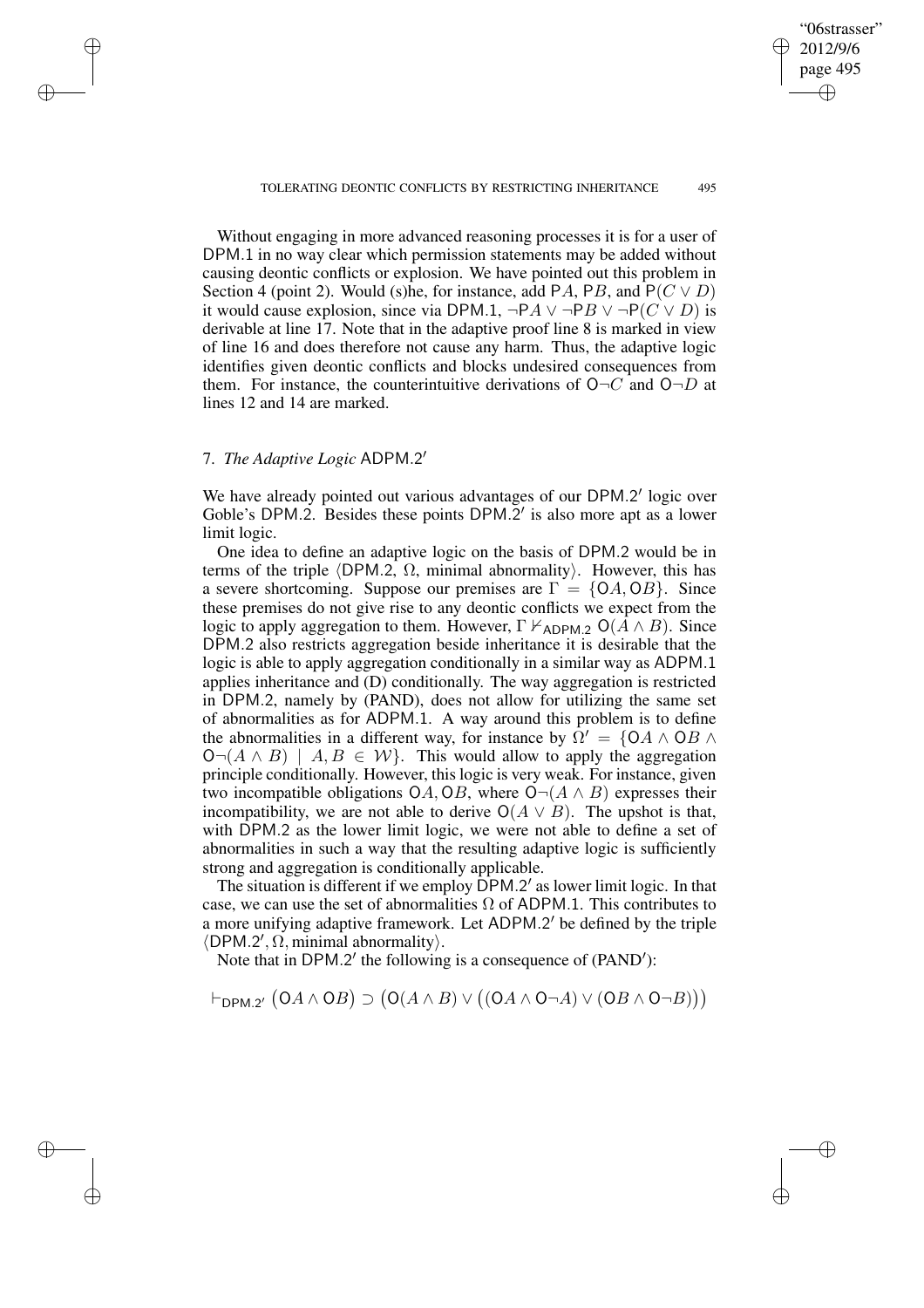✐

✐

✐

✐

Without engaging in more advanced reasoning processes it is for a user of DPM.1 in no way clear which permission statements may be added without causing deontic conflicts or explosion. We have pointed out this problem in Section 4 (point 2). Would (s)he, for instance, add PA, PB, and  $P(C \vee D)$ it would cause explosion, since via DPM.1,  $\neg P A \lor \neg P B \lor \neg P (C \lor D)$  is derivable at line 17. Note that in the adaptive proof line 8 is marked in view of line 16 and does therefore not cause any harm. Thus, the adaptive logic identifies given deontic conflicts and blocks undesired consequences from them. For instance, the counterintuitive derivations of  $O\neg C$  and  $O\neg D$  at lines 12 and 14 are marked.

# 7. *The Adaptive Logic* ADPM.2 0

✐

✐

✐

✐

We have already pointed out various advantages of our DPM.2' logic over Goble's DPM.2. Besides these points DPM. $2'$  is also more apt as a lower limit logic.

One idea to define an adaptive logic on the basis of DPM.2 would be in terms of the triple  $\langle$ DPM.2,  $\Omega$ , minimal abnormality). However, this has a severe shortcoming. Suppose our premises are  $\Gamma = \{OA, OB\}$ . Since these premises do not give rise to any deontic conflicts we expect from the logic to apply aggregation to them. However,  $\Gamma \nvdash_{ADPM.2} O(\overline{A} \wedge B)$ . Since DPM.2 also restricts aggregation beside inheritance it is desirable that the logic is able to apply aggregation conditionally in a similar way as ADPM.1 applies inheritance and (D) conditionally. The way aggregation is restricted in DPM.2, namely by (PAND), does not allow for utilizing the same set of abnormalities as for ADPM.1. A way around this problem is to define the abnormalities in a different way, for instance by  $\Omega' = \{OA \land OB \land$  $\mathsf{O}\neg(A \land B)$  |  $A, B \in \mathcal{W}$ . This would allow to apply the aggregation principle conditionally. However, this logic is very weak. For instance, given two incompatible obligations OA, OB, where  $O\neg(A \land B)$  expresses their incompatibility, we are not able to derive  $O(A \vee B)$ . The upshot is that, with DPM.2 as the lower limit logic, we were not able to define a set of abnormalities in such a way that the resulting adaptive logic is sufficiently strong and aggregation is conditionally applicable.

The situation is different if we employ DPM.2' as lower limit logic. In that case, we can use the set of abnormalities  $\Omega$  of ADPM.1. This contributes to a more unifying adaptive framework. Let ADPM.2' be defined by the triple  $\langle$ DPM.2',  $\Omega$ , minimal abnormality $\rangle$ .

Note that in DPM.2' the following is a consequence of (PAND'):

 $\vdash_{\mathsf{DPM.2'}}\big(\mathsf{O} A \land \mathsf{O} B\big) \supset \big(\mathsf{O}(A \land B) \lor \big((\mathsf{O} A \land \mathsf{O} \neg A) \lor (\mathsf{O} B \land \mathsf{O} \neg B)\big)\big)$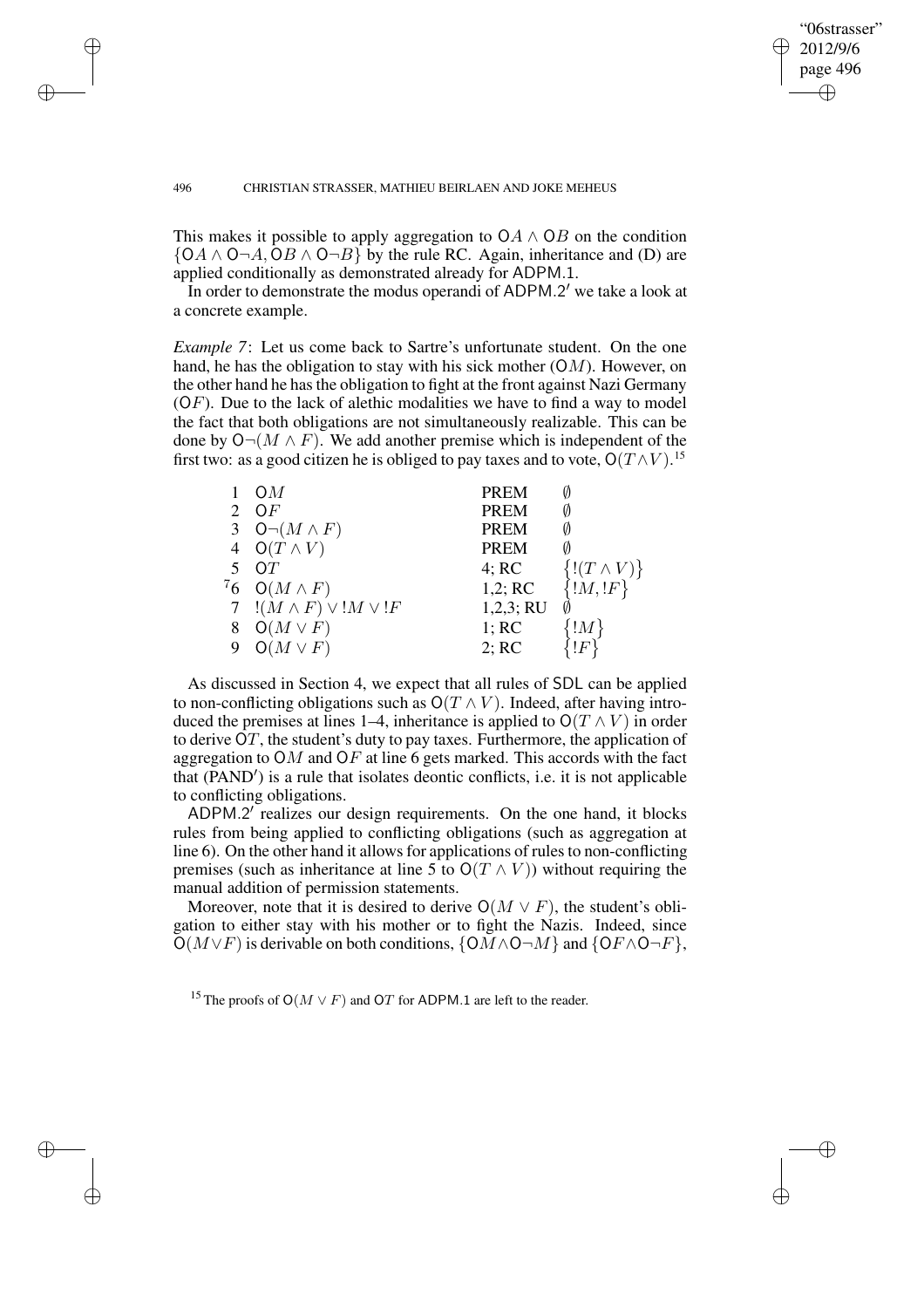✐

✐

"06strasser"

### 496 CHRISTIAN STRASSER, MATHIEU BEIRLAEN AND JOKE MEHEUS

 $\rightarrow$ 

 $\rightarrow$ 

✐

✐

This makes it possible to apply aggregation to  $OA \wedge OB$  on the condition  ${OA \wedge 0 \neg A, OB \wedge 0 \neg B}$  by the rule RC. Again, inheritance and (D) are applied conditionally as demonstrated already for ADPM.1.

In order to demonstrate the modus operandi of ADPM.2' we take a look at a concrete example.

*Example 7*: Let us come back to Sartre's unfortunate student. On the one hand, he has the obligation to stay with his sick mother  $(OM)$ . However, on the other hand he has the obligation to fight at the front against Nazi Germany  $(OF)$ . Due to the lack of alethic modalities we have to find a way to model the fact that both obligations are not simultaneously realizable. This can be done by  $O\neg(M \wedge F)$ . We add another premise which is independent of the first two: as a good citizen he is obliged to pay taxes and to vote,  $O(T\,\wedge V)^{15}$ 

|         | OM                                 | <b>PREM</b> |                    |
|---------|------------------------------------|-------------|--------------------|
|         | OF                                 | <b>PREM</b> | Ø                  |
|         | 3 $O\neg(M \wedge F)$              | <b>PREM</b> | Ø                  |
|         | $O(T \wedge V)$                    | <b>PREM</b> |                    |
| 5       | $\Omega T$                         | 4; RC       | $\{(T\wedge V)\}\$ |
| $^{7}6$ | $O(M \wedge F)$                    | 1,2; RC     | $\{!M,lF\}$        |
|         | 7 $!(M \wedge F) \vee !M \vee !F)$ | 1,2,3; RU   |                    |
|         | $O(M \vee F)$                      | 1; RC       | !M                 |
|         | $O(M \vee F)$                      | 2; RC       | !F]                |

As discussed in Section 4, we expect that all rules of SDL can be applied to non-conflicting obligations such as  $O(T \wedge V)$ . Indeed, after having introduced the premises at lines 1–4, inheritance is applied to  $O(T \wedge V)$  in order to derive OT, the student's duty to pay taxes. Furthermore, the application of aggregation to  $OM$  and  $OF$  at line 6 gets marked. This accords with the fact that  $(\overline{PAND'})$  is a rule that isolates deontic conflicts, i.e. it is not applicable to conflicting obligations.

ADPM.2' realizes our design requirements. On the one hand, it blocks rules from being applied to conflicting obligations (such as aggregation at line 6). On the other hand it allows for applications of rules to non-conflicting premises (such as inheritance at line 5 to  $O(T \wedge V)$ ) without requiring the manual addition of permission statements.

Moreover, note that it is desired to derive  $O(M \vee F)$ , the student's obligation to either stay with his mother or to fight the Nazis. Indeed, since  $O(M\vee F)$  is derivable on both conditions,  $\{OM \wedge O \neg M\}$  and  $\{OF \wedge O \neg F\}$ ,

<sup>15</sup> The proofs of O( $M \vee F$ ) and OT for ADPM.1 are left to the reader.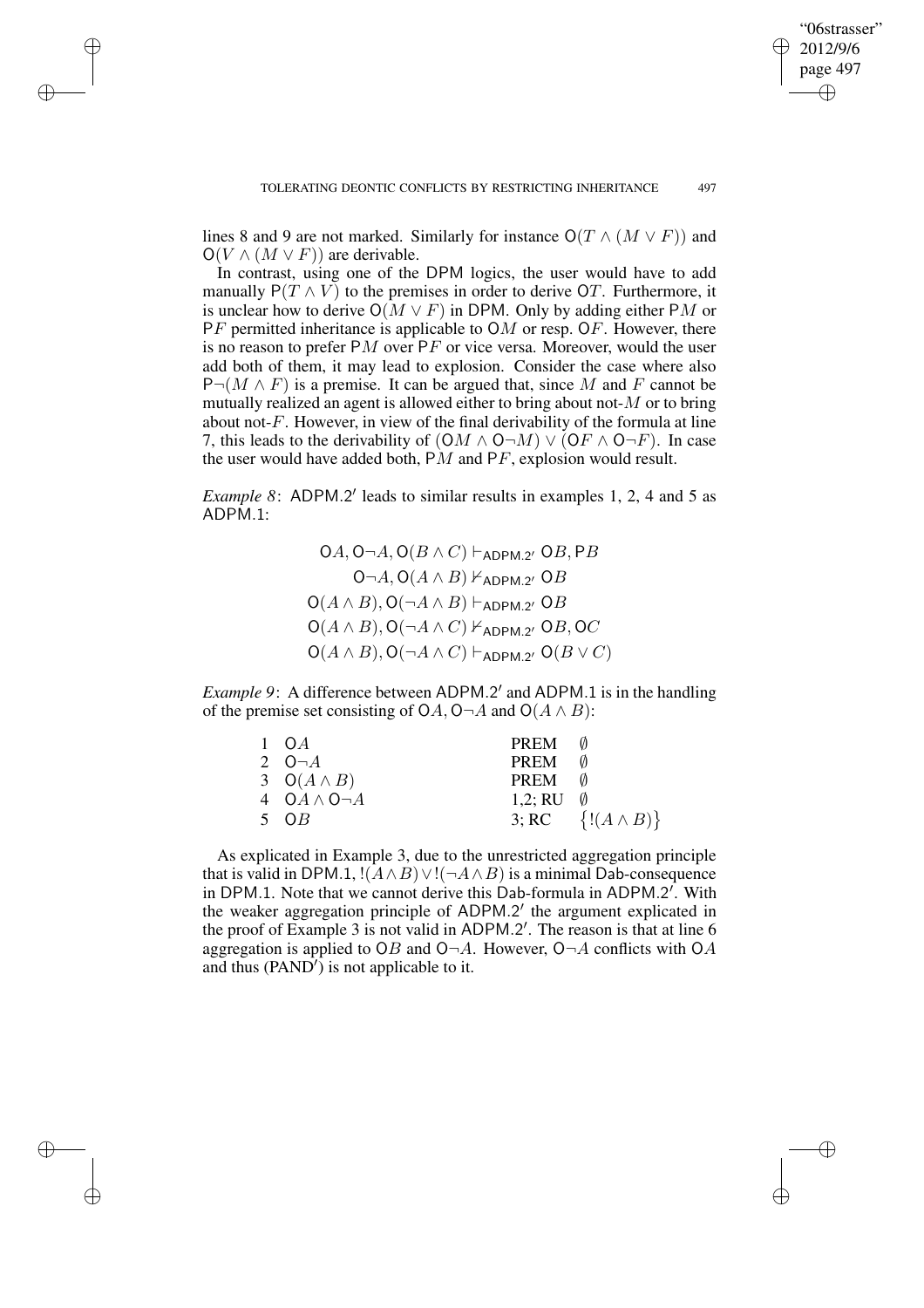✐

✐

✐

✐

lines 8 and 9 are not marked. Similarly for instance  $O(T \wedge (M \vee F))$  and  $O(V \wedge (M \vee F))$  are derivable.

 $\rightarrow$ 

 $\rightarrow$ 

✐

✐

In contrast, using one of the DPM logics, the user would have to add manually  $P(T \wedge V)$  to the premises in order to derive OT. Furthermore, it is unclear how to derive  $O(M \vee F)$  in DPM. Only by adding either PM or  $PF$  permitted inheritance is applicable to  $OM$  or resp. OF. However, there is no reason to prefer  $PM$  over  $PF$  or vice versa. Moreover, would the user add both of them, it may lead to explosion. Consider the case where also  $P\neg(M \wedge F)$  is a premise. It can be argued that, since M and F cannot be mutually realized an agent is allowed either to bring about not- $M$  or to bring about not- $F$ . However, in view of the final derivability of the formula at line 7, this leads to the derivability of  $(OM \wedge O \neg M) \vee (OF \wedge O \neg F)$ . In case the user would have added both,  $PM$  and  $PF$ , explosion would result.

*Example* 8: ADPM.2' leads to similar results in examples 1, 2, 4 and 5 as ADPM.1:

> $\mathsf{O}A,\mathsf{O} \neg A,\mathsf{O}(B\wedge C)\vdash_{\mathsf{ADPM}.2'}\mathsf{O}B,\mathsf{P}B$  $O\neg A$ ,  $O(A \land B)$  ⊬<sub>ADPM.2</sub>,  $OB$  $\mathsf{O}(A \land B), \mathsf{O}(\neg A \land B) \vdash_{\mathsf{ADPM}.2'} \mathsf{O} B$  $O(A \wedge B)$ ,  $O(\neg A \wedge C)$   $\vdash$  ADPM.2'  $OB$ , OC  $\mathsf{O}(A \land B), \mathsf{O}(\neg A \land C) \vdash_{\mathsf{ADPM}.2'} \mathsf{O}(B \lor C)$

*Example* 9: A difference between ADPM.2' and ADPM.1 is in the handling of the premise set consisting of OA, O¬A and O( $A \wedge B$ ):

| $1 \Omega A$            | PREM                |                            |
|-------------------------|---------------------|----------------------------|
| 2 $O\neg A$             | PREM                |                            |
| $3 \quad O(A \wedge B)$ | PREM 0              |                            |
| 4 $OA \wedge O \neg A$  | 1,2; RU $\emptyset$ |                            |
| 5 OB                    |                     | 3; RC $\{!(A \wedge B)\}\$ |

As explicated in Example 3, due to the unrestricted aggregation principle that is valid in DPM.1, ! $(A \wedge B) \vee$ ! $(\neg A \wedge B)$  is a minimal Dab-consequence in DPM.1. Note that we cannot derive this Dab-formula in ADPM.2'. With the weaker aggregation principle of ADPM.2' the argument explicated in the proof of Example 3 is not valid in ADPM.2'. The reason is that at line 6 aggregation is applied to OB and  $O\neg A$ . However,  $O\neg A$  conflicts with OA and thus  $(PAND')$  is not applicable to it.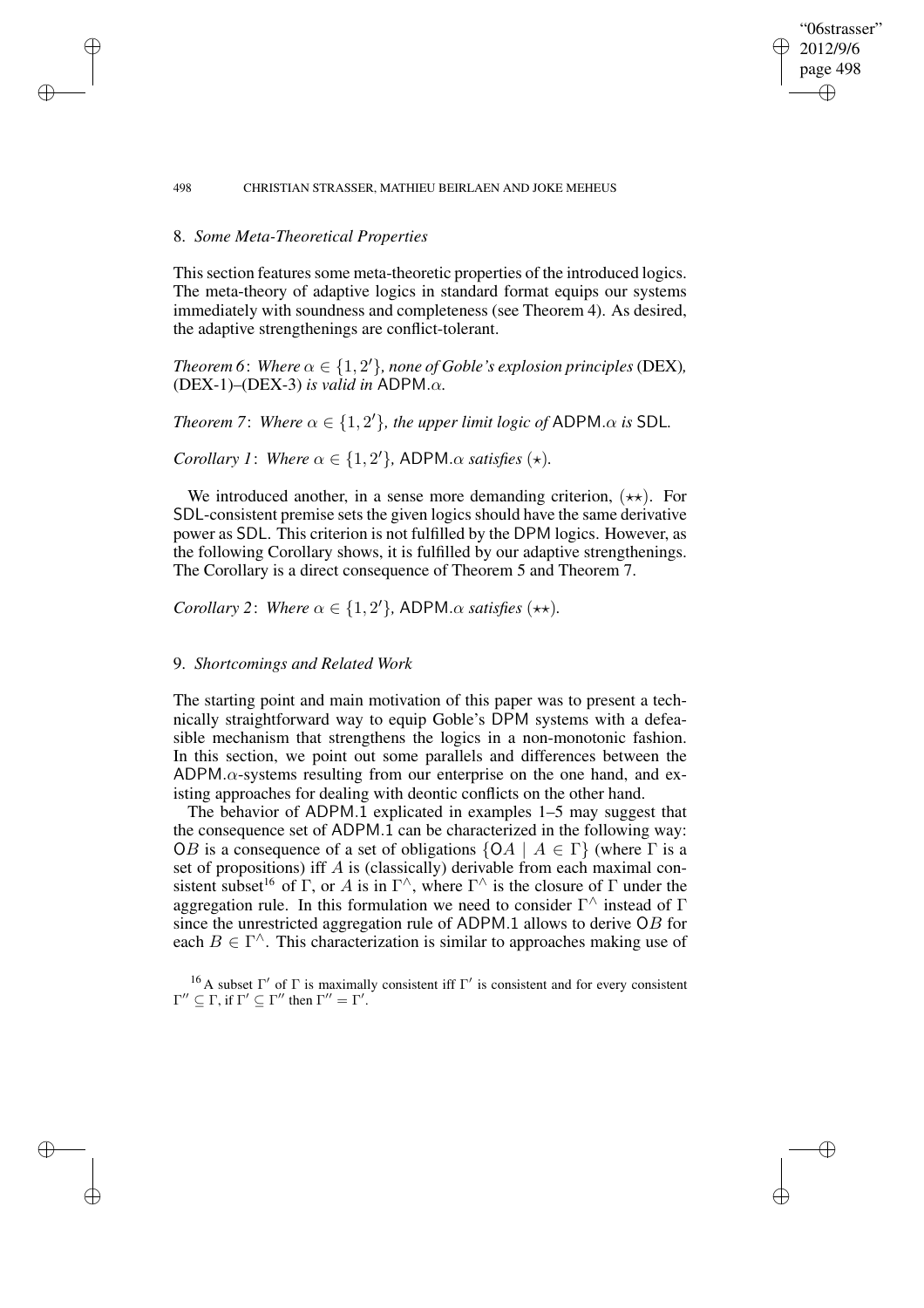# 8. *Some Meta-Theoretical Properties*

 $\rightarrow$ 

 $\rightarrow$ 

✐

✐

This section features some meta-theoretic properties of the introduced logics. The meta-theory of adaptive logics in standard format equips our systems immediately with soundness and completeness (see Theorem 4). As desired, the adaptive strengthenings are conflict-tolerant.

"06strasser" 2012/9/6 page 498

✐

✐

✐

✐

*Theorem* 6: Where  $\alpha \in \{1, 2^{\prime}\}$ , none of Goble's explosion principles (DEX), (DEX-1)*–*(DEX-3) *is valid in* ADPM.α*.*

*Theorem* 7: *Where*  $\alpha \in \{1, 2^l\}$ *, the upper limit logic of* ADPM. $\alpha$  *is* SDL.

*Corollary 1*: *Where*  $\alpha \in \{1, 2'\}$ , ADPM. $\alpha$  *satisfies* ( $\star$ )*.* 

We introduced another, in a sense more demanding criterion,  $(\star \star)$ . For SDL-consistent premise sets the given logics should have the same derivative power as SDL. This criterion is not fulfilled by the DPM logics. However, as the following Corollary shows, it is fulfilled by our adaptive strengthenings. The Corollary is a direct consequence of Theorem 5 and Theorem 7.

*Corollary* 2: *Where*  $\alpha \in \{1, 2'\}$ , ADPM. $\alpha$  *satisfies* (\*\*)*.* 

## 9. *Shortcomings and Related Work*

The starting point and main motivation of this paper was to present a technically straightforward way to equip Goble's DPM systems with a defeasible mechanism that strengthens the logics in a non-monotonic fashion. In this section, we point out some parallels and differences between the ADPM. $\alpha$ -systems resulting from our enterprise on the one hand, and existing approaches for dealing with deontic conflicts on the other hand.

The behavior of ADPM.1 explicated in examples 1–5 may suggest that the consequence set of ADPM.1 can be characterized in the following way: OB is a consequence of a set of obligations  $\{OA \mid A \in \Gamma\}$  (where  $\Gamma$  is a set of propositions) iff A is (classically) derivable from each maximal consistent subset<sup>16</sup> of  $\Gamma$ , or A is in  $\Gamma^{\wedge}$ , where  $\Gamma^{\wedge}$  is the closure of  $\Gamma$  under the aggregation rule. In this formulation we need to consider  $\Gamma^{\wedge}$  instead of  $\Gamma$ since the unrestricted aggregation rule of ADPM.1 allows to derive OB for each  $B \in \Gamma^{\wedge}$ . This characterization is similar to approaches making use of

<sup>16</sup> A subset  $\Gamma'$  of  $\Gamma$  is maximally consistent iff  $\Gamma'$  is consistent and for every consistent  $\Gamma'' \subseteq \Gamma$ , if  $\Gamma' \subseteq \Gamma''$  then  $\Gamma'' = \Gamma'$ .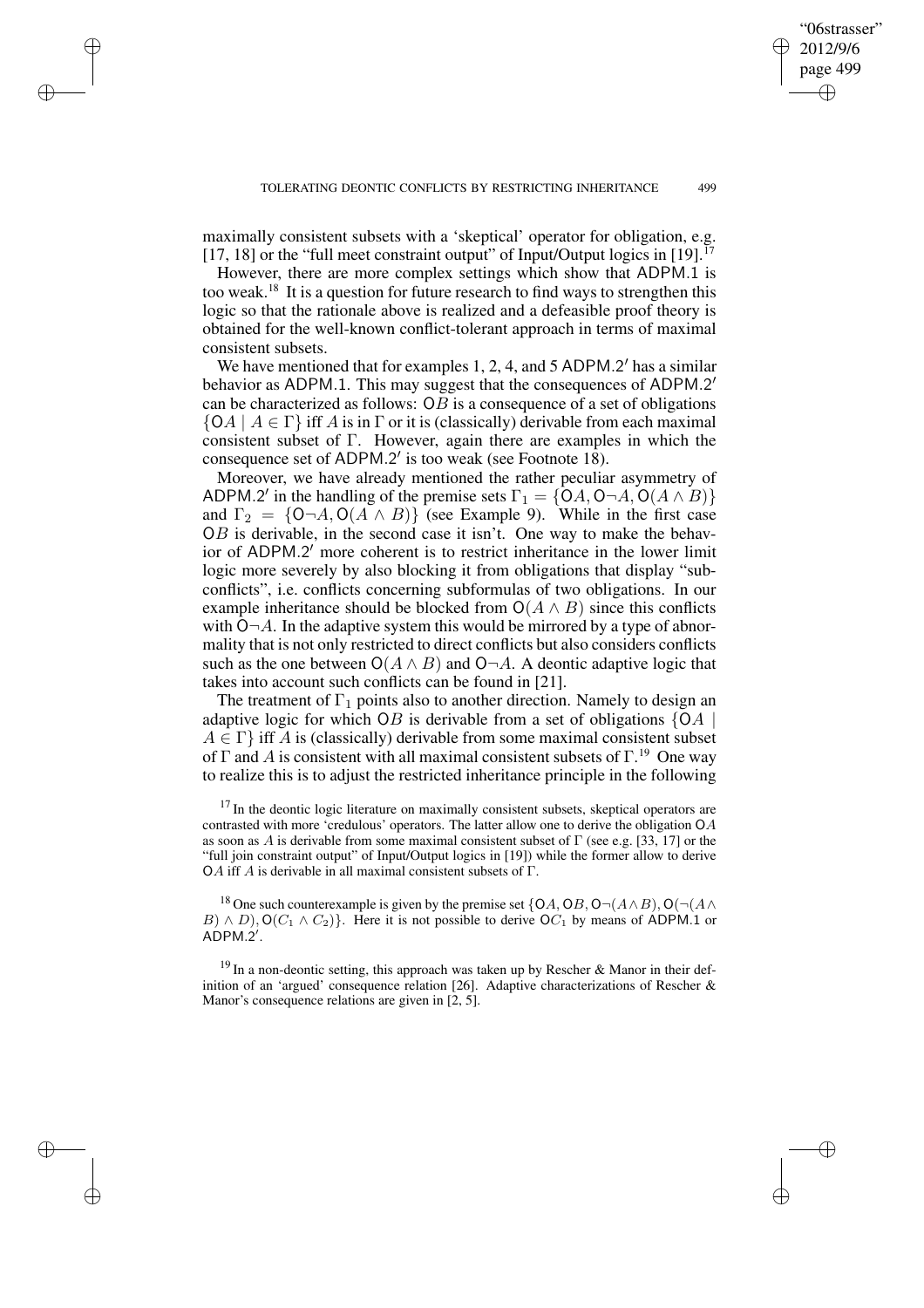maximally consistent subsets with a 'skeptical' operator for obligation, e.g. [17, 18] or the "full meet constraint output" of Input/Output logics in [19].<sup>17</sup>

 $\rightarrow$ 

 $\rightarrow$ 

✐

✐

However, there are more complex settings which show that ADPM.1 is too weak.<sup>18</sup> It is a question for future research to find ways to strengthen this logic so that the rationale above is realized and a defeasible proof theory is obtained for the well-known conflict-tolerant approach in terms of maximal consistent subsets.

We have mentioned that for examples 1, 2, 4, and 5 ADPM.2' has a similar behavior as ADPM.1. This may suggest that the consequences of ADPM.2' can be characterized as follows:  $OB$  is a consequence of a set of obligations  ${O(A \mid A \in \Gamma}$  iff A is in  $\Gamma$  or it is (classically) derivable from each maximal consistent subset of Γ. However, again there are examples in which the consequence set of ADPM.2' is too weak (see Footnote 18).

Moreover, we have already mentioned the rather peculiar asymmetry of ADPM.2' in the handling of the premise sets  $\Gamma_1 = \{OA, O \neg A, O(A \wedge B)\}$ and  $\Gamma_2 = \{O \neg A, O(A \land B)\}\$  (see Example 9). While in the first case  $OB$  is derivable, in the second case it isn't. One way to make the behavior of ADPM.2' more coherent is to restrict inheritance in the lower limit logic more severely by also blocking it from obligations that display "subconflicts", i.e. conflicts concerning subformulas of two obligations. In our example inheritance should be blocked from  $O(A \wedge B)$  since this conflicts with  $O-A$ . In the adaptive system this would be mirrored by a type of abnormality that is not only restricted to direct conflicts but also considers conflicts such as the one between  $O(A \wedge B)$  and  $O\neg A$ . A deontic adaptive logic that takes into account such conflicts can be found in [21].

The treatment of  $\Gamma_1$  points also to another direction. Namely to design an adaptive logic for which OB is derivable from a set of obligations  ${OA \mid}$  $A \in \Gamma$  iff A is (classically) derivable from some maximal consistent subset of  $\Gamma$  and A is consistent with all maximal consistent subsets of  $\Gamma$ <sup>19</sup>. One way to realize this is to adjust the restricted inheritance principle in the following

<sup>17</sup> In the deontic logic literature on maximally consistent subsets, skeptical operators are contrasted with more 'credulous' operators. The latter allow one to derive the obligation OA as soon as A is derivable from some maximal consistent subset of  $\Gamma$  (see e.g. [33, 17] or the "full join constraint output" of Input/Output logics in [19]) while the former allow to derive OA iff A is derivable in all maximal consistent subsets of  $\Gamma$ .

<sup>18</sup> One such counterexample is given by the premise set {OA, OB, O $\neg$ ( $A \wedge B$ ), O( $\neg$ ( $A \wedge B$ )  $B) \wedge D$ ), O( $C_1 \wedge C_2$ )}. Here it is not possible to derive O $C_1$  by means of ADPM.1 or  $A\overset{\cdot}{\mathsf{DPM}}.\overset{\cdot}{2}'.$ 

<sup>19</sup> In a non-deontic setting, this approach was taken up by Rescher & Manor in their definition of an 'argued' consequence relation [26]. Adaptive characterizations of Rescher & Manor's consequence relations are given in [2, 5].

"06strasser" 2012/9/6 page 499

✐

✐

✐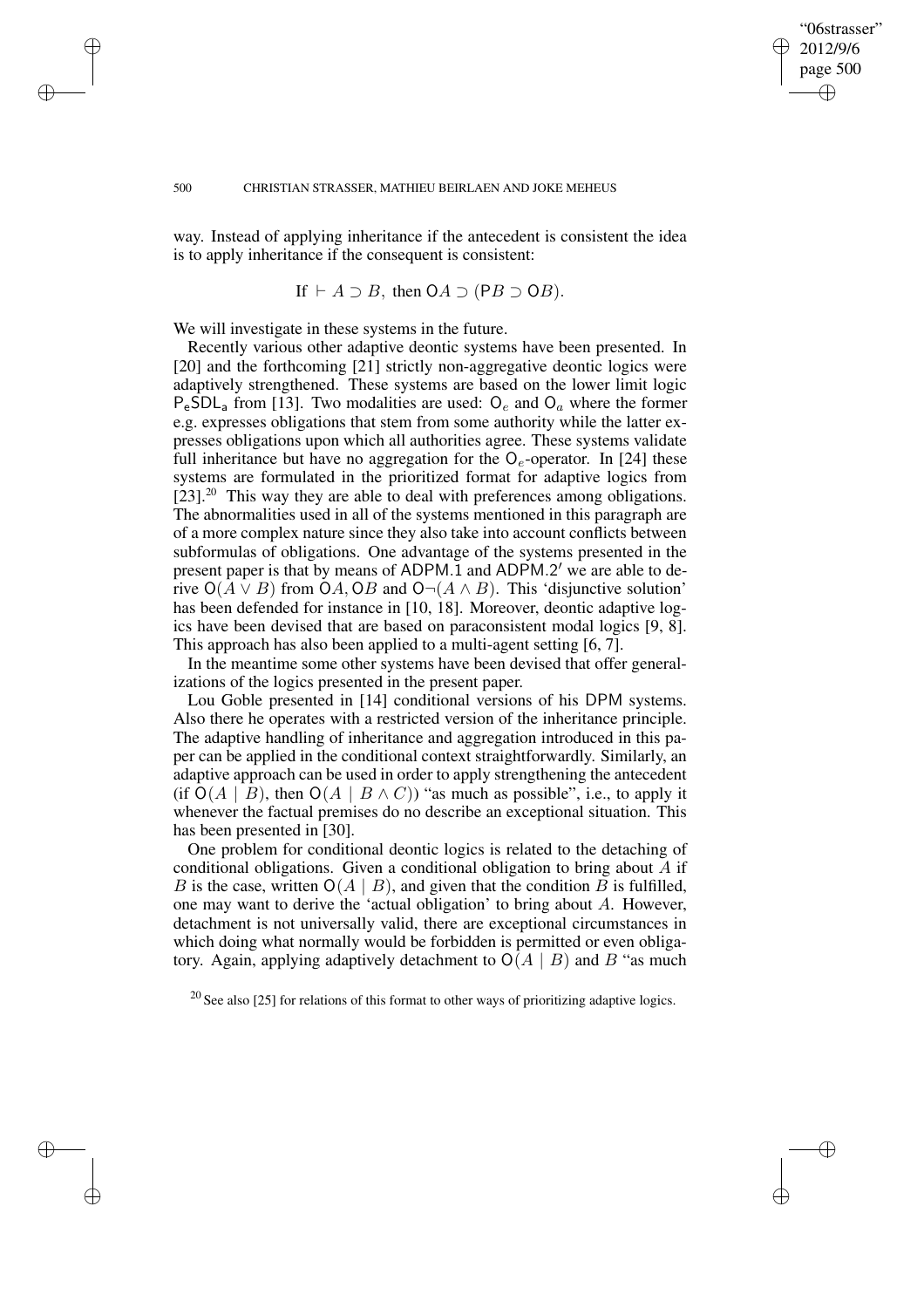✐

✐

✐

✐

way. Instead of applying inheritance if the antecedent is consistent the idea is to apply inheritance if the consequent is consistent:

If 
$$
\vdash A \supset B
$$
, then  $OA \supset (PB \supset OB)$ .

We will investigate in these systems in the future.

Recently various other adaptive deontic systems have been presented. In [20] and the forthcoming [21] strictly non-aggregative deontic logics were adaptively strengthened. These systems are based on the lower limit logic  $P_eSDL_a$  from [13]. Two modalities are used:  $O_e$  and  $O_a$  where the former e.g. expresses obligations that stem from some authority while the latter expresses obligations upon which all authorities agree. These systems validate full inheritance but have no aggregation for the  $O_e$ -operator. In [24] these systems are formulated in the prioritized format for adaptive logics from  $[23]$ <sup>20</sup> This way they are able to deal with preferences among obligations. The abnormalities used in all of the systems mentioned in this paragraph are of a more complex nature since they also take into account conflicts between subformulas of obligations. One advantage of the systems presented in the present paper is that by means of ADPM.1 and ADPM.2' we are able to derive  $O(A \vee B)$  from  $OA$ ,  $OB$  and  $O\neg(A \wedge B)$ . This 'disjunctive solution' has been defended for instance in [10, 18]. Moreover, deontic adaptive logics have been devised that are based on paraconsistent modal logics [9, 8]. This approach has also been applied to a multi-agent setting [6, 7].

In the meantime some other systems have been devised that offer generalizations of the logics presented in the present paper.

Lou Goble presented in [14] conditional versions of his DPM systems. Also there he operates with a restricted version of the inheritance principle. The adaptive handling of inheritance and aggregation introduced in this paper can be applied in the conditional context straightforwardly. Similarly, an adaptive approach can be used in order to apply strengthening the antecedent (if  $O(A | B)$ , then  $O(A | B \wedge C)$ ) "as much as possible", i.e., to apply it whenever the factual premises do no describe an exceptional situation. This has been presented in [30].

One problem for conditional deontic logics is related to the detaching of conditional obligations. Given a conditional obligation to bring about A if B is the case, written  $O(A | B)$ , and given that the condition B is fulfilled, one may want to derive the 'actual obligation' to bring about A. However, detachment is not universally valid, there are exceptional circumstances in which doing what normally would be forbidden is permitted or even obligatory. Again, applying adaptively detachment to  $O(A | B)$  and B "as much

 $^{20}$  See also [25] for relations of this format to other ways of prioritizing adaptive logics.

 $\rightarrow$ 

 $\rightarrow$ 

✐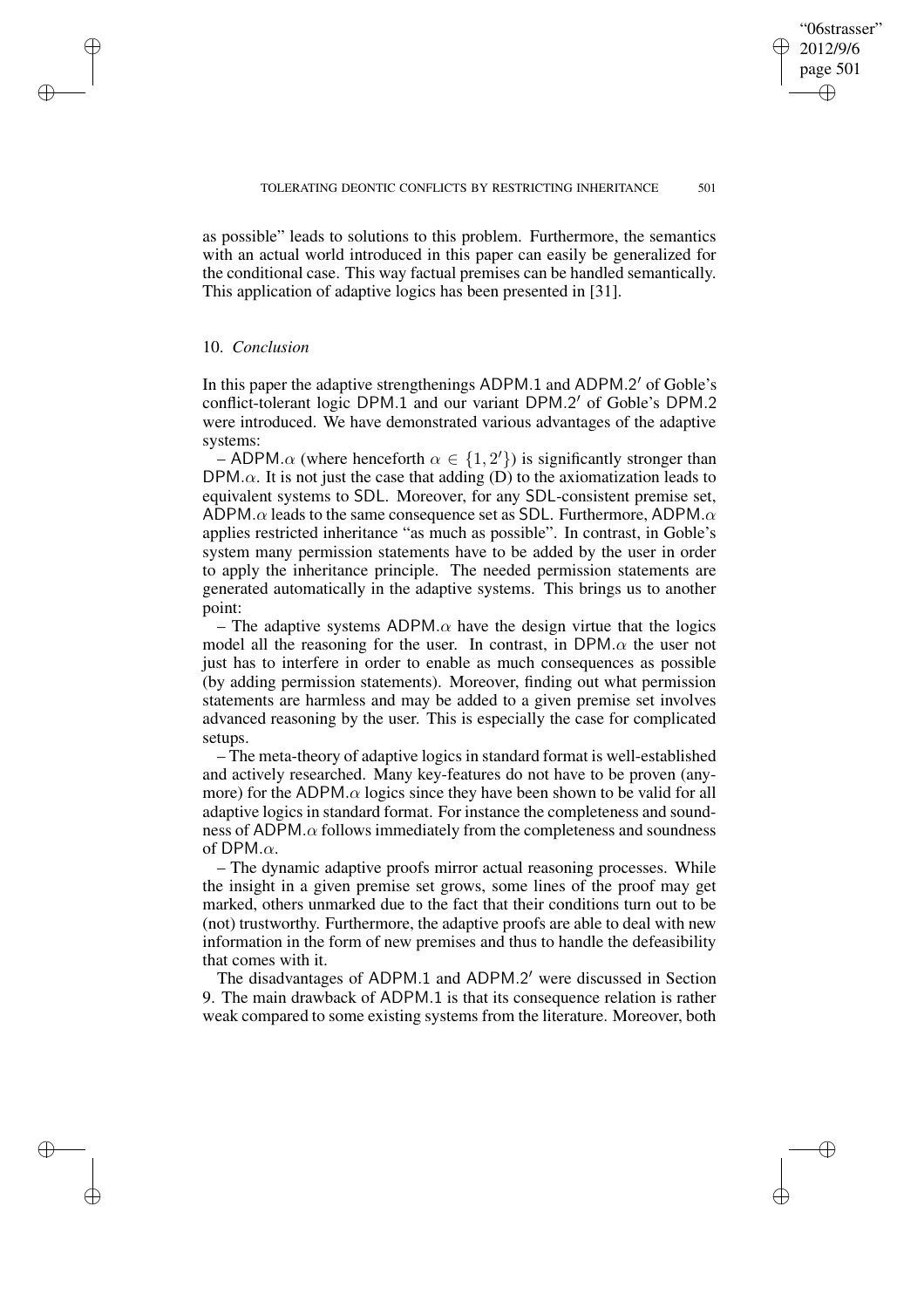✐

✐

✐

✐

as possible" leads to solutions to this problem. Furthermore, the semantics with an actual world introduced in this paper can easily be generalized for the conditional case. This way factual premises can be handled semantically. This application of adaptive logics has been presented in [31].

### 10. *Conclusion*

 $\rightarrow$ 

 $\rightarrow$ 

✐

✐

In this paper the adaptive strengthenings ADPM.1 and ADPM.2' of Goble's conflict-tolerant logic DPM.1 and our variant DPM.2' of Goble's DPM.2 were introduced. We have demonstrated various advantages of the adaptive systems:

– ADPM. $\alpha$  (where henceforth  $\alpha \in \{1, 2'\}$ ) is significantly stronger than DPM. $\alpha$ . It is not just the case that adding (D) to the axiomatization leads to equivalent systems to SDL. Moreover, for any SDL-consistent premise set, ADPM. $\alpha$  leads to the same consequence set as SDL. Furthermore, ADPM. $\alpha$ applies restricted inheritance "as much as possible". In contrast, in Goble's system many permission statements have to be added by the user in order to apply the inheritance principle. The needed permission statements are generated automatically in the adaptive systems. This brings us to another point:

– The adaptive systems ADPM. $\alpha$  have the design virtue that the logics model all the reasoning for the user. In contrast, in DPM. $\alpha$  the user not just has to interfere in order to enable as much consequences as possible (by adding permission statements). Moreover, finding out what permission statements are harmless and may be added to a given premise set involves advanced reasoning by the user. This is especially the case for complicated setups.

– The meta-theory of adaptive logics in standard format is well-established and actively researched. Many key-features do not have to be proven (anymore) for the ADPM. $\alpha$  logics since they have been shown to be valid for all adaptive logics in standard format. For instance the completeness and soundness of ADPM. $\alpha$  follows immediately from the completeness and soundness of DPM. $\alpha$ .

– The dynamic adaptive proofs mirror actual reasoning processes. While the insight in a given premise set grows, some lines of the proof may get marked, others unmarked due to the fact that their conditions turn out to be (not) trustworthy. Furthermore, the adaptive proofs are able to deal with new information in the form of new premises and thus to handle the defeasibility that comes with it.

The disadvantages of ADPM.1 and ADPM.2' were discussed in Section 9. The main drawback of ADPM.1 is that its consequence relation is rather weak compared to some existing systems from the literature. Moreover, both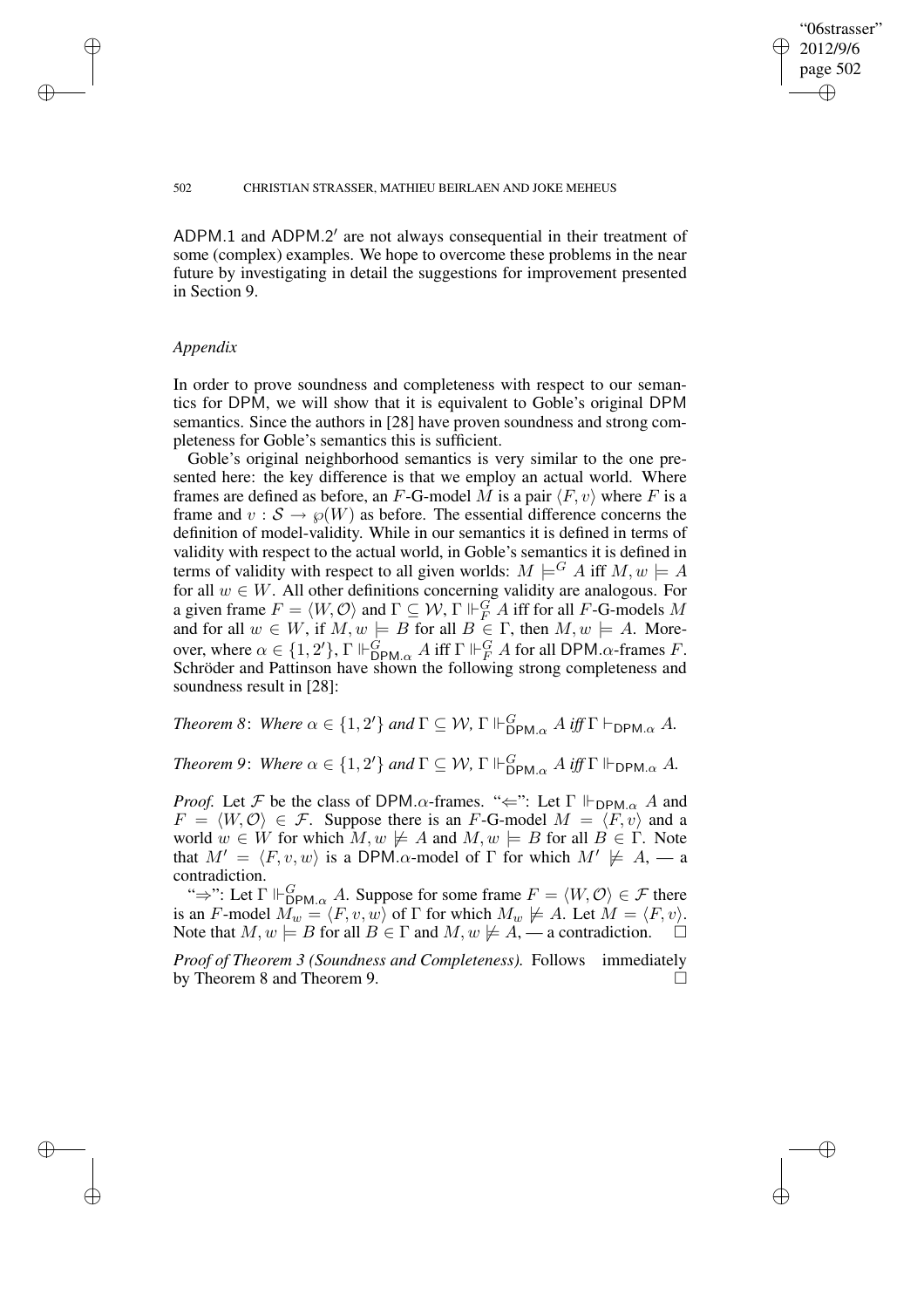✐

✐

#### 502 CHRISTIAN STRASSER, MATHIEU BEIRLAEN AND JOKE MEHEUS

ADPM.1 and ADPM.2' are not always consequential in their treatment of some (complex) examples. We hope to overcome these problems in the near future by investigating in detail the suggestions for improvement presented in Section 9.

### *Appendix*

 $\rightarrow$ 

✐

✐

✐

In order to prove soundness and completeness with respect to our semantics for DPM, we will show that it is equivalent to Goble's original DPM semantics. Since the authors in [28] have proven soundness and strong completeness for Goble's semantics this is sufficient.

Goble's original neighborhood semantics is very similar to the one presented here: the key difference is that we employ an actual world. Where frames are defined as before, an F-G-model M is a pair  $\langle F, v \rangle$  where F is a frame and  $v : \mathcal{S} \to \varphi(W)$  as before. The essential difference concerns the definition of model-validity. While in our semantics it is defined in terms of validity with respect to the actual world, in Goble's semantics it is defined in terms of validity with respect to all given worlds:  $M \models^G A$  iff  $M, w \models A$ for all  $w \in W$ . All other definitions concerning validity are analogous. For a given frame  $F = \langle W, O \rangle$  and  $\Gamma \subseteq W$ ,  $\Gamma \Vdash^G_F A$  iff for all F-G-models M and for all  $w \in W$ , if  $M, w \models B$  for all  $B \in \Gamma$ , then  $M, w \models A$ . Moreover, where  $\alpha \in \{1, 2'\}, \Gamma \Vdash_{\text{DPM}.\alpha}^{\dot{G}} A$  iff  $\Gamma \Vdash_{F}^{G} A$  for all DPM. $\alpha$ -frames F. Schröder and Pattinson have shown the following strong completeness and soundness result in [28]:

*Theorem* 8: *Where*  $\alpha \in \{1, 2'\}$  *and*  $\Gamma \subseteq W$ ,  $\Gamma \Vdash_{\text{DPM}.\alpha}^G A$  *iff*  $\Gamma \vdash_{\text{DPM}.\alpha} A$ *.* 

*Theorem 9: Where*  $\alpha \in \{1, 2'\}$  *and*  $\Gamma \subseteq W$ ,  $\Gamma \Vdash_{\mathsf{DPM}_{\alpha}}^G A$  *iff*  $\Gamma \Vdash_{\mathsf{DPM}_{\alpha}} A$ .

*Proof.* Let F be the class of DPM. $\alpha$ -frames. " $\Leftarrow$ ": Let  $\Gamma \Vdash_{\text{DPM}.\alpha} A$  and  $F = \langle W, \mathcal{O} \rangle \in \mathcal{F}$ . Suppose there is an F-G-model  $M = \langle F, v \rangle$  and a world  $w \in W$  for which  $M, w \not\models A$  and  $M, w \models B$  for all  $B \in \Gamma$ . Note that  $M' = \langle F, v, w \rangle$  is a DPM. $\alpha$ -model of  $\Gamma$  for which  $M' \not\models A, -a$ contradiction.

" $\Rightarrow$ ": Let  $\Gamma \Vdash_{\text{DPM}_{\alpha}}^G A$ . Suppose for some frame  $F = \langle W, \mathcal{O} \rangle \in \mathcal{F}$  there is an F-model  $M_w = \langle F, v, w \rangle$  of  $\Gamma$  for which  $M_w \not\models A$ . Let  $M = \langle F, v \rangle$ . Note that  $M, w \models B$  for all  $B \in \Gamma$  and  $M, w \not\models A, \text{---}$  a contradiction.

*Proof of Theorem 3 (Soundness and Completeness).* Follows immediately by Theorem 8 and Theorem 9.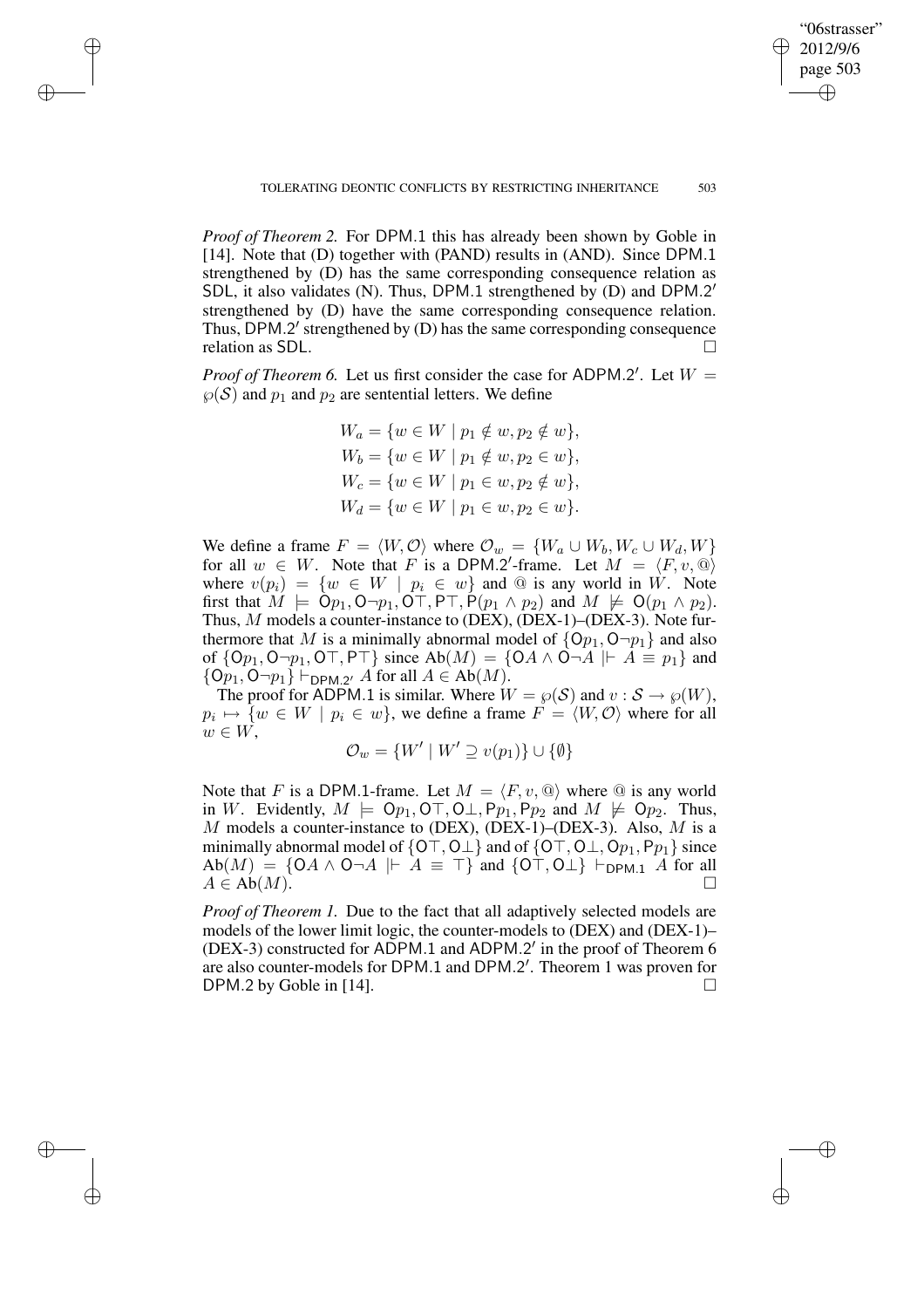✐

✐

✐

✐

*Proof of Theorem 2.* For DPM.1 this has already been shown by Goble in [14]. Note that (D) together with (PAND) results in (AND). Since DPM.1 strengthened by (D) has the same corresponding consequence relation as SDL, it also validates (N). Thus, DPM.1 strengthened by (D) and DPM.2' strengthened by (D) have the same corresponding consequence relation. Thus, DPM.2' strengthened by (D) has the same corresponding consequence relation as SDL.

✐

✐

✐

✐

*Proof of Theorem 6.* Let us first consider the case for ADPM.2'. Let  $W =$  $\wp(S)$  and  $p_1$  and  $p_2$  are sentential letters. We define

$$
W_a = \{ w \in W \mid p_1 \notin w, p_2 \notin w \},
$$
  
\n
$$
W_b = \{ w \in W \mid p_1 \notin w, p_2 \in w \},
$$
  
\n
$$
W_c = \{ w \in W \mid p_1 \in w, p_2 \notin w \},
$$
  
\n
$$
W_d = \{ w \in W \mid p_1 \in w, p_2 \in w \}.
$$

We define a frame  $F = \langle W, O \rangle$  where  $\mathcal{O}_w = \{W_a \cup W_b, W_c \cup W_d, W\}$ for all  $w \in W$ . Note that F is a DPM. 2'-frame. Let  $M = \langle F, v, \mathbb{Q} \rangle$ where  $v(p_i) = \{w \in W \mid p_i \in w\}$  and @ is any world in W. Note first that  $M \models \dot{O}p_1, O \neg p_1, O \top, P \top, P(p_1 \land p_2)$  and  $M \not\models O(p_1 \land p_2)$ . Thus, M models a counter-instance to (DEX), (DEX-1)–(DEX-3). Note furthermore that M is a minimally abnormal model of  $\{Op_1, O\neg p_1\}$  and also of  $\{Op_1, O\neg p_1, O\neg$ ,  $P\neg$ } since  $Ab(M) = \{OA \land O\neg A \mid A \equiv p_1\}$  and  $\{Op_1, O\neg p_1\} \vdash_{\textsf{DPM}.2'} A \text{ for all } A \in \textsf{Ab}(M).$ 

The proof for ADPM.1 is similar. Where  $W = \wp(S)$  and  $v : S \to \wp(W)$ ,  $p_i \mapsto \{w \in W \mid p_i \in w\}$ , we define a frame  $F = \langle W, \mathcal{O} \rangle$  where for all  $w \in W$ ,

$$
\mathcal{O}_w = \{W' \mid W' \supseteq v(p_1)\} \cup \{\emptyset\}
$$

Note that F is a DPM.1-frame. Let  $M = \langle F, v, \mathbb{Q} \rangle$  where  $\mathbb{Q}$  is any world in W. Evidently,  $M \models \mathsf{Op}_1, \mathsf{OT}, \mathsf{OL}, \mathsf{P}p_1, \mathsf{P}p_2$  and  $M \not\models \mathsf{Op}_2$ . Thus,  $M$  models a counter-instance to (DEX), (DEX-1)–(DEX-3). Also,  $M$  is a minimally abnormal model of  $\{OT, O \perp\}$  and of  $\{OT, O \perp, Op_1, Pp_1\}$  since  $Ab(M) = \{OA \wedge O \neg A \mid A \equiv \top \}$  and  $\{OT, O \bot \} \vdash_{DPM.1} A$  for all  $A \in Ab(M).$ 

*Proof of Theorem 1.* Due to the fact that all adaptively selected models are models of the lower limit logic, the counter-models to (DEX) and (DEX-1)– (DEX-3) constructed for ADPM.1 and ADPM.2' in the proof of Theorem  $6$ are also counter-models for DPM.1 and DPM.2'. Theorem 1 was proven for DPM.2 by Goble in [14].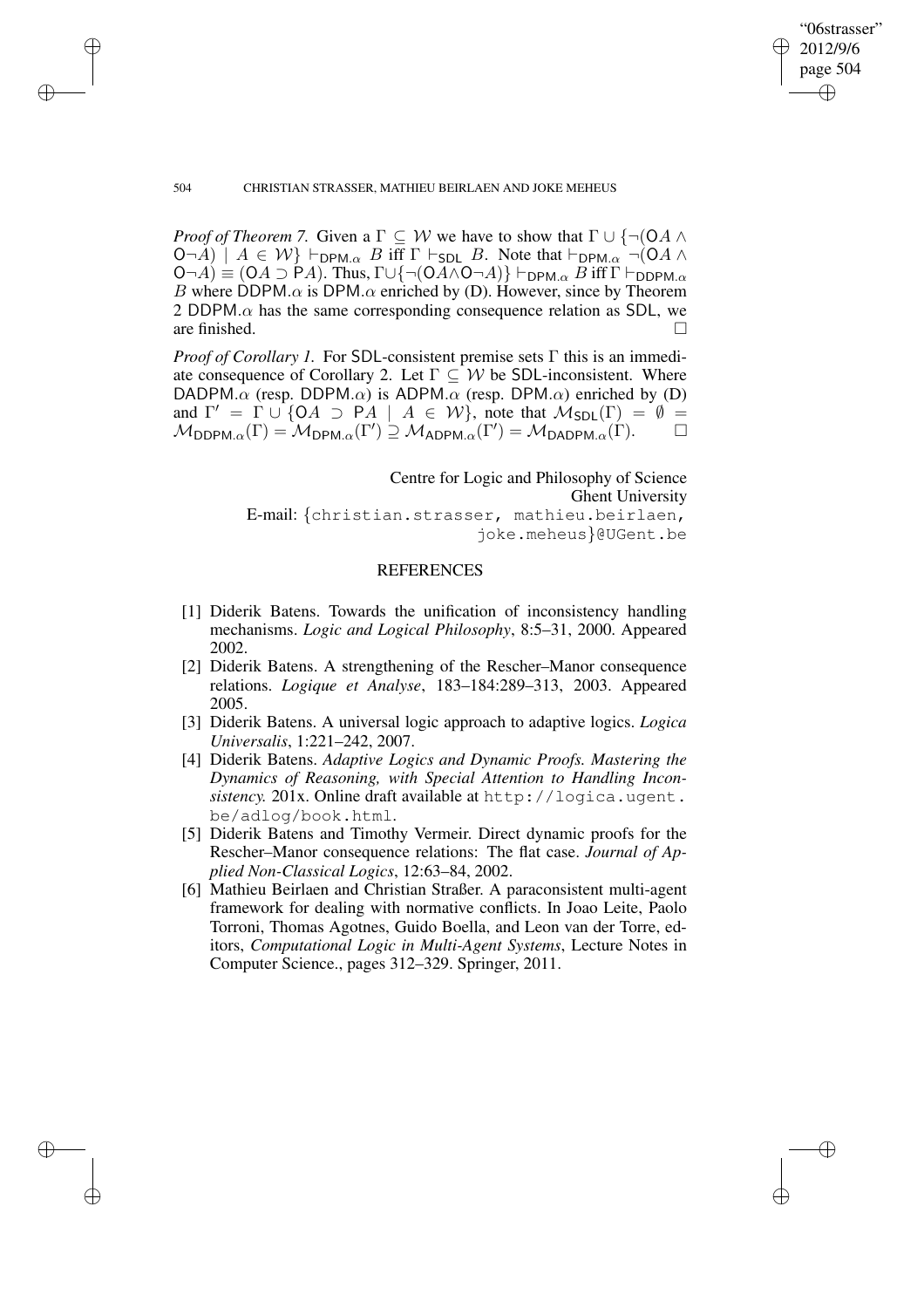"06strasser" 2012/9/6 page 504 ✐ ✐

✐

✐

### 504 CHRISTIAN STRASSER, MATHIEU BEIRLAEN AND JOKE MEHEUS

✐

✐

✐

✐

*Proof of Theorem 7.* Given a  $\Gamma \subseteq W$  we have to show that  $\Gamma \cup \{\neg (\mathsf{OA} \land \mathsf{A}\})$  $(\mathsf{O}\neg A) \mid A \in \mathcal{W}$   $\vdash_{\mathsf{DPM}.\alpha} B$  iff  $\Gamma \vdash_{\mathsf{SDL}} B$ . Note that  $\vdash_{\mathsf{DPM}.\alpha} \neg(\mathsf{O} A \land \mathsf{O})$  $(\mathsf{O}\neg A)\equiv(\mathsf{O} A\supset\mathsf{P} A)$ . Thus,  $\Gamma\cup\{\neg(\mathsf{O} A\wedge \mathsf{O}\neg A)\}\vdash_{\mathsf{DPM}.\alpha} B$  iff  $\Gamma\vdash_{\mathsf{DDPM}.\alpha}$ B where DDPM. $\alpha$  is DPM. $\alpha$  enriched by (D). However, since by Theorem 2 DDPM. $\alpha$  has the same corresponding consequence relation as SDL, we are finished.

*Proof of Corollary 1.* For SDL-consistent premise sets Γ this is an immediate consequence of Corollary 2. Let  $\Gamma \subseteq W$  be SDL-inconsistent. Where DADPM. $\alpha$  (resp. DDPM. $\alpha$ ) is ADPM. $\alpha$  (resp. DPM. $\alpha$ ) enriched by (D) and  $\Gamma' = \Gamma \cup \{OA \supset PA \mid A \in W\}$ , note that  $\mathcal{M}_{SDL}(\Gamma) = \emptyset$  $\mathcal{M}_{\mathsf{DDPM}.\alpha}(\Gamma) = \mathcal{M}_{\mathsf{DPM}.\alpha}(\Gamma') \supseteq \mathcal{M}_{\mathsf{ADPM}.\alpha}(\Gamma') = \mathcal{M}_{\mathsf{DADPM}.\alpha}(\Gamma).$ 

> Centre for Logic and Philosophy of Science Ghent University

E-mail: {christian.strasser, mathieu.beirlaen, joke.meheus}@UGent.be

# REFERENCES

- [1] Diderik Batens. Towards the unification of inconsistency handling mechanisms. *Logic and Logical Philosophy*, 8:5–31, 2000. Appeared 2002.
- [2] Diderik Batens. A strengthening of the Rescher–Manor consequence relations. *Logique et Analyse*, 183–184:289–313, 2003. Appeared 2005.
- [3] Diderik Batens. A universal logic approach to adaptive logics. *Logica Universalis*, 1:221–242, 2007.
- [4] Diderik Batens. *Adaptive Logics and Dynamic Proofs. Mastering the Dynamics of Reasoning, with Special Attention to Handling Incon*sistency. 201x. Online draft available at http://logica.ugent. be/adlog/book.html.
- [5] Diderik Batens and Timothy Vermeir. Direct dynamic proofs for the Rescher–Manor consequence relations: The flat case. *Journal of Applied Non-Classical Logics*, 12:63–84, 2002.
- [6] Mathieu Beirlaen and Christian Straßer. A paraconsistent multi-agent framework for dealing with normative conflicts. In Joao Leite, Paolo Torroni, Thomas Agotnes, Guido Boella, and Leon van der Torre, editors, *Computational Logic in Multi-Agent Systems*, Lecture Notes in Computer Science., pages 312–329. Springer, 2011.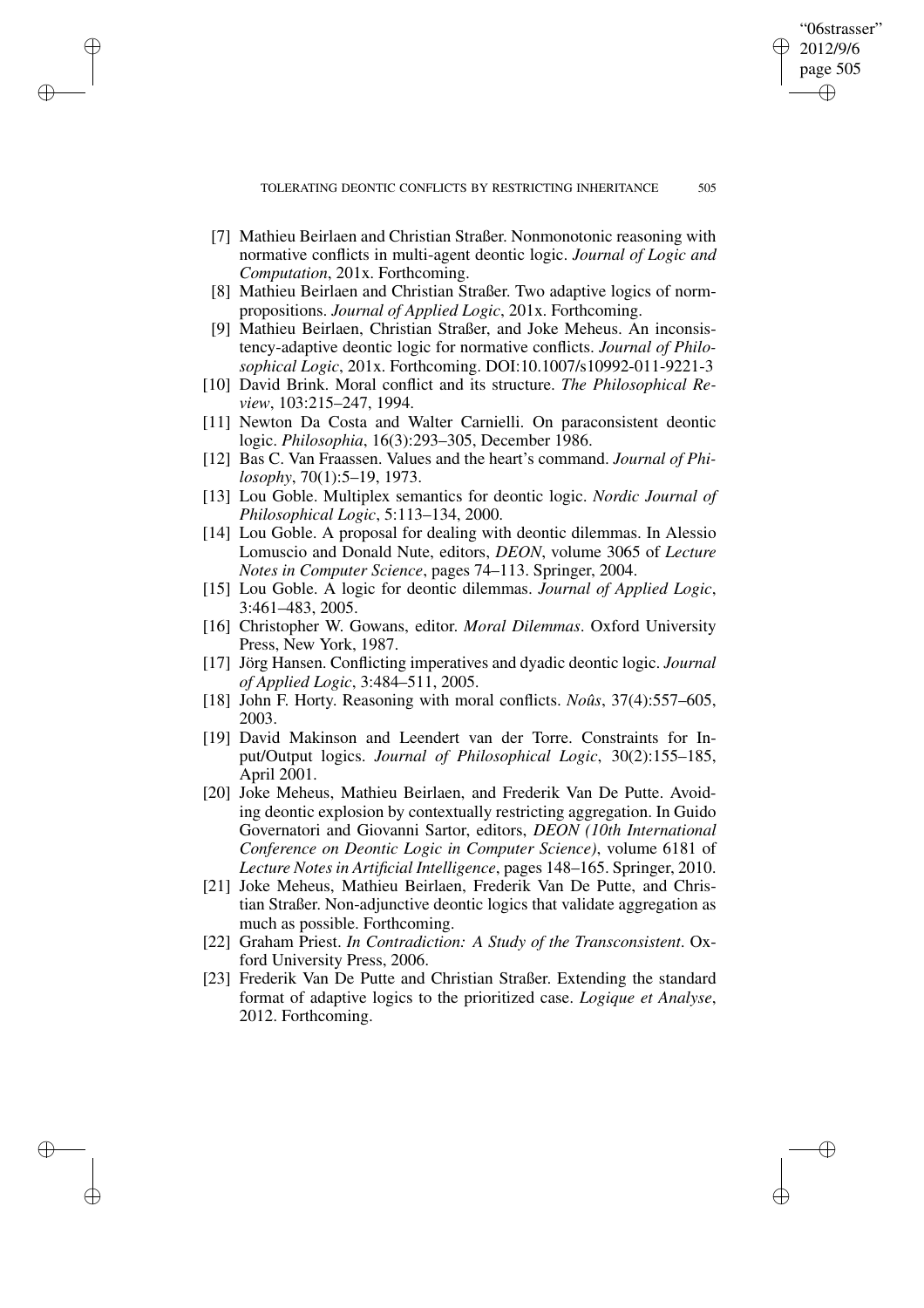✐

✐

✐

✐

[7] Mathieu Beirlaen and Christian Straßer. Nonmonotonic reasoning with normative conflicts in multi-agent deontic logic. *Journal of Logic and Computation*, 201x. Forthcoming.

✐

✐

✐

- [8] Mathieu Beirlaen and Christian Straßer. Two adaptive logics of normpropositions. *Journal of Applied Logic*, 201x. Forthcoming.
- [9] Mathieu Beirlaen, Christian Straßer, and Joke Meheus. An inconsistency-adaptive deontic logic for normative conflicts. *Journal of Philosophical Logic*, 201x. Forthcoming. DOI:10.1007/s10992-011-9221-3
- [10] David Brink. Moral conflict and its structure. *The Philosophical Review*, 103:215–247, 1994.
- [11] Newton Da Costa and Walter Carnielli. On paraconsistent deontic logic. *Philosophia*, 16(3):293–305, December 1986.
- [12] Bas C. Van Fraassen. Values and the heart's command. *Journal of Philosophy*, 70(1):5–19, 1973.
- [13] Lou Goble. Multiplex semantics for deontic logic. *Nordic Journal of Philosophical Logic*, 5:113–134, 2000.
- [14] Lou Goble. A proposal for dealing with deontic dilemmas. In Alessio Lomuscio and Donald Nute, editors, *DEON*, volume 3065 of *Lecture Notes in Computer Science*, pages 74–113. Springer, 2004.
- [15] Lou Goble. A logic for deontic dilemmas. *Journal of Applied Logic*, 3:461–483, 2005.
- [16] Christopher W. Gowans, editor. *Moral Dilemmas*. Oxford University Press, New York, 1987.
- [17] Jörg Hansen. Conflicting imperatives and dyadic deontic logic. *Journal of Applied Logic*, 3:484–511, 2005.
- [18] John F. Horty. Reasoning with moral conflicts. *Noûs*, 37(4):557–605, 2003.
- [19] David Makinson and Leendert van der Torre. Constraints for Input/Output logics. *Journal of Philosophical Logic*, 30(2):155–185, April 2001.
- [20] Joke Meheus, Mathieu Beirlaen, and Frederik Van De Putte. Avoiding deontic explosion by contextually restricting aggregation. In Guido Governatori and Giovanni Sartor, editors, *DEON (10th International Conference on Deontic Logic in Computer Science)*, volume 6181 of *Lecture Notes in Artificial Intelligence*, pages 148–165. Springer, 2010.
- [21] Joke Meheus, Mathieu Beirlaen, Frederik Van De Putte, and Christian Straßer. Non-adjunctive deontic logics that validate aggregation as much as possible. Forthcoming.
- [22] Graham Priest. *In Contradiction: A Study of the Transconsistent*. Oxford University Press, 2006.
- [23] Frederik Van De Putte and Christian Straßer. Extending the standard format of adaptive logics to the prioritized case. *Logique et Analyse*, 2012. Forthcoming.